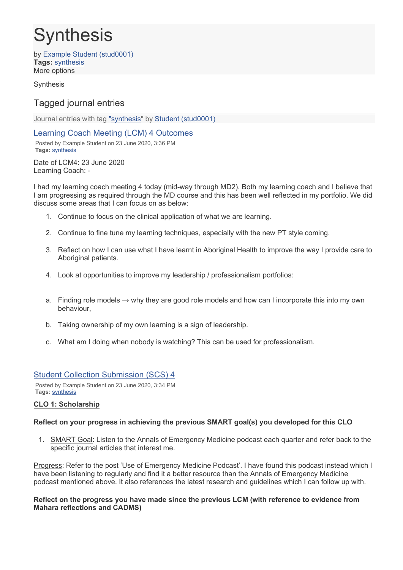# **Synthesis**

by Example Student (stud0001) **Tags:** synthesis More options

Synthesis

# Tagged journal entries

Journal entries with tag ["synthesis"](https://eportfolio.flinders.edu.au/relatedtags.php?tag=synthesis&view=42600) by Student (stud0001)

Learning Coach Meeting (LCM) 4 Outcomes

Posted by Example Student on 23 June 2020, 3:36 PM **Tags:** synthesis

Date of LCM4: 23 June 2020 Learning Coach: -

I had my learning coach meeting 4 today (mid-way through MD2). Both my learning coach and I believe that I am progressing as required through the MD course and this has been well reflected in my portfolio. We did discuss some areas that I can focus on as below:

- 1. Continue to focus on the clinical application of what we are learning.
- 2. Continue to fine tune my learning techniques, especially with the new PT style coming.
- 3. Reflect on how I can use what I have learnt in Aboriginal Health to improve the way I provide care to Aboriginal patients.
- 4. Look at opportunities to improve my leadership / professionalism portfolios:
- a. Finding role models  $\rightarrow$  why they are good role models and how can I incorporate this into my own behaviour,
- b. Taking ownership of my own learning is a sign of leadership.
- c. What am I doing when nobody is watching? This can be used for professionalism.

# Student Collection Submission (SCS) 4

Posted by Example Student on 23 June 2020, 3:34 PM **Tags:** synthesis

# **CLO 1: Scholarship**

# **Reflect on your progress in achieving the previous SMART goal(s) you developed for this CLO**

1. SMART Goal: Listen to the Annals of Emergency Medicine podcast each quarter and refer back to the specific journal articles that interest me.

Progress: Refer to the post 'Use of Emergency Medicine Podcast'. I have found this podcast instead which I have been listening to regularly and find it a better resource than the Annals of Emergency Medicine podcast mentioned above. It also references the latest research and guidelines which I can follow up with.

#### **Reflect on the progress you have made since the previous LCM (with reference to evidence from Mahara reflections and CADMS)**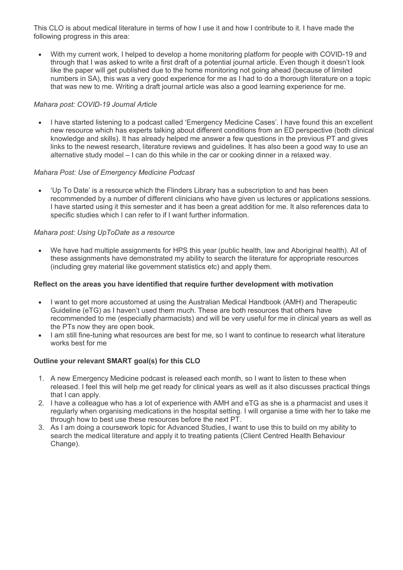This CLO is about medical literature in terms of how I use it and how I contribute to it. I have made the following progress in this area:

• With my current work, I helped to develop a home monitoring platform for people with COVID-19 and through that I was asked to write a first draft of a potential journal article. Even though it doesn't look like the paper will get published due to the home monitoring not going ahead (because of limited numbers in SA), this was a very good experience for me as I had to do a thorough literature on a topic that was new to me. Writing a draft journal article was also a good learning experience for me.

# *Mahara post: COVID-19 Journal Article*

• I have started listening to a podcast called 'Emergency Medicine Cases'. I have found this an excellent new resource which has experts talking about different conditions from an ED perspective (both clinical knowledge and skills). It has already helped me answer a few questions in the previous PT and gives links to the newest research, literature reviews and guidelines. It has also been a good way to use an alternative study model – I can do this while in the car or cooking dinner in a relaxed way.

# *Mahara Post: Use of Emergency Medicine Podcast*

• 'Up To Date' is a resource which the Flinders Library has a subscription to and has been recommended by a number of different clinicians who have given us lectures or applications sessions. I have started using it this semester and it has been a great addition for me. It also references data to specific studies which I can refer to if I want further information.

#### *Mahara post: Using UpToDate as a resource*

• We have had multiple assignments for HPS this year (public health, law and Aboriginal health). All of these assignments have demonstrated my ability to search the literature for appropriate resources (including grey material like government statistics etc) and apply them.

## **Reflect on the areas you have identified that require further development with motivation**

- I want to get more accustomed at using the Australian Medical Handbook (AMH) and Therapeutic Guideline (eTG) as I haven't used them much. These are both resources that others have recommended to me (especially pharmacists) and will be very useful for me in clinical years as well as the PTs now they are open book.
- I am still fine-tuning what resources are best for me, so I want to continue to research what literature works best for me

#### **Outline your relevant SMART goal(s) for this CLO**

- 1. A new Emergency Medicine podcast is released each month, so I want to listen to these when released. I feel this will help me get ready for clinical years as well as it also discusses practical things that I can apply.
- 2. I have a colleague who has a lot of experience with AMH and eTG as she is a pharmacist and uses it regularly when organising medications in the hospital setting. I will organise a time with her to take me through how to best use these resources before the next PT.
- 3. As I am doing a coursework topic for Advanced Studies, I want to use this to build on my ability to search the medical literature and apply it to treating patients (Client Centred Health Behaviour Change).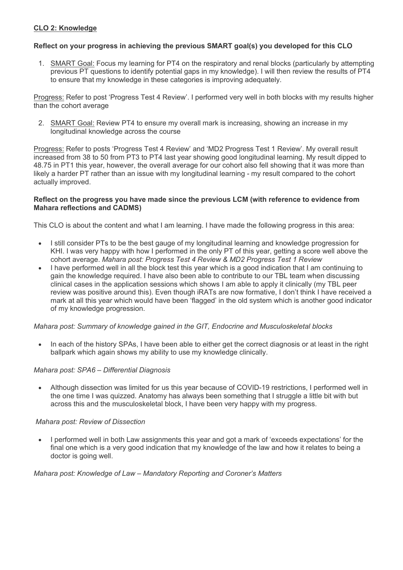# **CLO 2: Knowledge**

# **Reflect on your progress in achieving the previous SMART goal(s) you developed for this CLO**

1. SMART Goal: Focus my learning for PT4 on the respiratory and renal blocks (particularly by attempting previous PT questions to identify potential gaps in my knowledge). I will then review the results of PT4 to ensure that my knowledge in these categories is improving adequately.

Progress: Refer to post 'Progress Test 4 Review'. I performed very well in both blocks with my results higher than the cohort average

2. SMART Goal: Review PT4 to ensure my overall mark is increasing, showing an increase in my longitudinal knowledge across the course

Progress: Refer to posts 'Progress Test 4 Review' and 'MD2 Progress Test 1 Review'. My overall result increased from 38 to 50 from PT3 to PT4 last year showing good longitudinal learning. My result dipped to 48.75 in PT1 this year, however, the overall average for our cohort also fell showing that it was more than likely a harder PT rather than an issue with my longitudinal learning - my result compared to the cohort actually improved.

#### **Reflect on the progress you have made since the previous LCM (with reference to evidence from Mahara reflections and CADMS)**

This CLO is about the content and what I am learning. I have made the following progress in this area:

- I still consider PTs to be the best gauge of my longitudinal learning and knowledge progression for KHI. I was very happy with how I performed in the only PT of this year, getting a score well above the cohort average. *Mahara post: Progress Test 4 Review & MD2 Progress Test 1 Review*
- I have performed well in all the block test this year which is a good indication that I am continuing to gain the knowledge required. I have also been able to contribute to our TBL team when discussing clinical cases in the application sessions which shows I am able to apply it clinically (my TBL peer review was positive around this). Even though iRATs are now formative, I don't think I have received a mark at all this year which would have been 'flagged' in the old system which is another good indicator of my knowledge progression.

#### *Mahara post: Summary of knowledge gained in the GIT, Endocrine and Musculoskeletal blocks*

In each of the history SPAs, I have been able to either get the correct diagnosis or at least in the right ballpark which again shows my ability to use my knowledge clinically.

#### *Mahara post: SPA6 – Differential Diagnosis*

• Although dissection was limited for us this year because of COVID-19 restrictions, I performed well in the one time I was quizzed. Anatomy has always been something that I struggle a little bit with but across this and the musculoskeletal block, I have been very happy with my progress.

#### *Mahara post: Review of Dissection*

• I performed well in both Law assignments this year and got a mark of 'exceeds expectations' for the final one which is a very good indication that my knowledge of the law and how it relates to being a doctor is going well.

#### *Mahara post: Knowledge of Law – Mandatory Reporting and Coroner's Matters*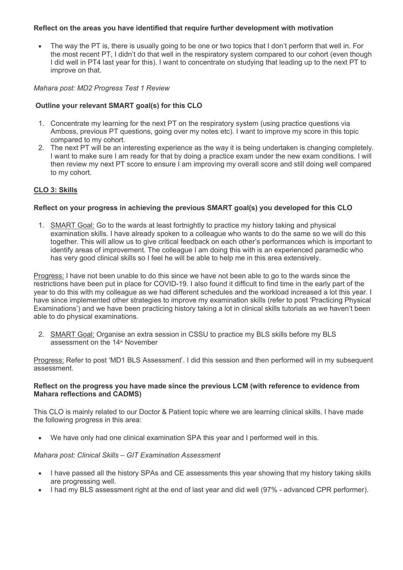# **Reflect on the areas you have identified that require further development with motivation**

• The way the PT is, there is usually going to be one or two topics that I don't perform that well in. For the most recent PT, I didn't do that well in the respiratory system compared to our cohort (even though I did well in PT4 last year for this). I want to concentrate on studying that leading up to the next PT to improve on that.

## *Mahara post: MD2 Progress Test 1 Review*

# **Outline your relevant SMART goal(s) for this CLO**

- 1. Concentrate my learning for the next PT on the respiratory system (using practice questions via Amboss, previous PT questions, going over my notes etc). I want to improve my score in this topic compared to my cohort.
- 2. The next PT will be an interesting experience as the way it is being undertaken is changing completely. I want to make sure I am ready for that by doing a practice exam under the new exam conditions. I will then review my next PT score to ensure I am improving my overall score and still doing well compared to my cohort.

# **CLO 3: Skills**

# **Reflect on your progress in achieving the previous SMART goal(s) you developed for this CLO**

1. SMART Goal: Go to the wards at least fortnightly to practice my history taking and physical examination skills. I have already spoken to a colleague who wants to do the same so we will do this together. This will allow us to give critical feedback on each other's performances which is important to identify areas of improvement. The colleague I am doing this with is an experienced paramedic who has very good clinical skills so I feel he will be able to help me in this area extensively.

Progress: I have not been unable to do this since we have not been able to go to the wards since the restrictions have been put in place for COVID-19. I also found it difficult to find time in the early part of the year to do this with my colleague as we had different schedules and the workload increased a lot this year. I have since implemented other strategies to improve my examination skills (refer to post 'Practicing Physical Examinations') and we have been practicing history taking a lot in clinical skills tutorials as we haven't been able to do physical examinations.

2. SMART Goal: Organise an extra session in CSSU to practice my BLS skills before my BLS assessment on the 14<sup>th</sup> November

Progress: Refer to post 'MD1 BLS Assessment'. I did this session and then performed will in my subsequent assessment.

#### **Reflect on the progress you have made since the previous LCM (with reference to evidence from Mahara reflections and CADMS)**

This CLO is mainly related to our Doctor & Patient topic where we are learning clinical skills. I have made the following progress in this area:

• We have only had one clinical examination SPA this year and I performed well in this.

#### *Mahara post: Clinical Skills – GIT Examination Assessment*

- I have passed all the history SPAs and CE assessments this year showing that my history taking skills are progressing well.
- I had my BLS assessment right at the end of last year and did well (97% advanced CPR performer).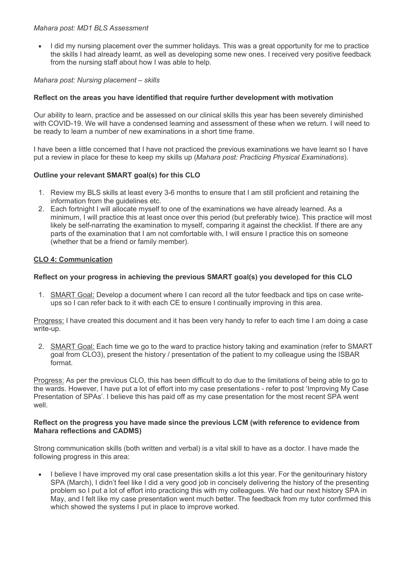## *Mahara post: MD1 BLS Assessment*

• I did my nursing placement over the summer holidays. This was a great opportunity for me to practice the skills I had already learnt, as well as developing some new ones. I received very positive feedback from the nursing staff about how I was able to help.

# *Mahara post: Nursing placement – skills*

# **Reflect on the areas you have identified that require further development with motivation**

Our ability to learn, practice and be assessed on our clinical skills this year has been severely diminished with COVID-19. We will have a condensed learning and assessment of these when we return. I will need to be ready to learn a number of new examinations in a short time frame.

I have been a little concerned that I have not practiced the previous examinations we have learnt so I have put a review in place for these to keep my skills up (*Mahara post: Practicing Physical Examinations*).

# **Outline your relevant SMART goal(s) for this CLO**

- 1. Review my BLS skills at least every 3-6 months to ensure that I am still proficient and retaining the information from the guidelines etc.
- 2. Each fortnight I will allocate myself to one of the examinations we have already learned. As a minimum, I will practice this at least once over this period (but preferably twice). This practice will most likely be self-narrating the examination to myself, comparing it against the checklist. If there are any parts of the examination that I am not comfortable with, I will ensure I practice this on someone (whether that be a friend or family member).

# **CLO 4: Communication**

# **Reflect on your progress in achieving the previous SMART goal(s) you developed for this CLO**

1. SMART Goal: Develop a document where I can record all the tutor feedback and tips on case writeups so I can refer back to it with each CE to ensure I continually improving in this area.

Progress: I have created this document and it has been very handy to refer to each time I am doing a case write-up.

2. SMART Goal: Each time we go to the ward to practice history taking and examination (refer to SMART goal from CLO3), present the history / presentation of the patient to my colleague using the ISBAR format.

Progress: As per the previous CLO, this has been difficult to do due to the limitations of being able to go to the wards. However, I have put a lot of effort into my case presentations - refer to post 'Improving My Case Presentation of SPAs'. I believe this has paid off as my case presentation for the most recent SPA went well.

#### **Reflect on the progress you have made since the previous LCM (with reference to evidence from Mahara reflections and CADMS)**

Strong communication skills (both written and verbal) is a vital skill to have as a doctor. I have made the following progress in this area:

• I believe I have improved my oral case presentation skills a lot this year. For the genitourinary history SPA (March), I didn't feel like I did a very good job in concisely delivering the history of the presenting problem so I put a lot of effort into practicing this with my colleagues. We had our next history SPA in May, and I felt like my case presentation went much better. The feedback from my tutor confirmed this which showed the systems I put in place to improve worked.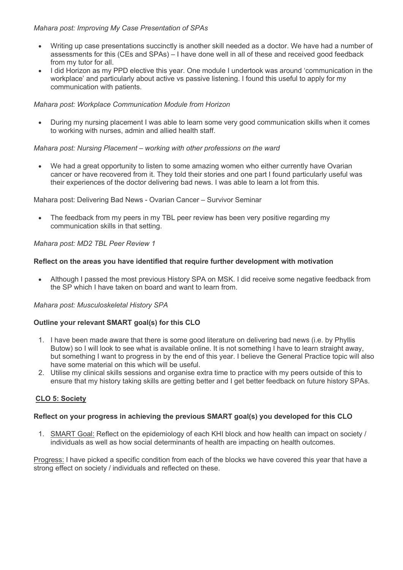# *Mahara post: Improving My Case Presentation of SPAs*

- Writing up case presentations succinctly is another skill needed as a doctor. We have had a number of assessments for this (CEs and SPAs) – I have done well in all of these and received good feedback from my tutor for all.
- I did Horizon as my PPD elective this year. One module I undertook was around 'communication in the workplace' and particularly about active vs passive listening. I found this useful to apply for my communication with patients.

## *Mahara post: Workplace Communication Module from Horizon*

• During my nursing placement I was able to learn some very good communication skills when it comes to working with nurses, admin and allied health staff.

#### *Mahara post: Nursing Placement – working with other professions on the ward*

We had a great opportunity to listen to some amazing women who either currently have Ovarian cancer or have recovered from it. They told their stories and one part I found particularly useful was their experiences of the doctor delivering bad news. I was able to learn a lot from this.

Mahara post: Delivering Bad News - Ovarian Cancer – Survivor Seminar

• The feedback from my peers in my TBL peer review has been very positive regarding my communication skills in that setting.

#### *Mahara post: MD2 TBL Peer Review 1*

# **Reflect on the areas you have identified that require further development with motivation**

• Although I passed the most previous History SPA on MSK. I did receive some negative feedback from the SP which I have taken on board and want to learn from.

#### *Mahara post: Musculoskeletal History SPA*

# **Outline your relevant SMART goal(s) for this CLO**

- 1. I have been made aware that there is some good literature on delivering bad news (i.e. by Phyllis Butow) so I will look to see what is available online. It is not something I have to learn straight away, but something I want to progress in by the end of this year. I believe the General Practice topic will also have some material on this which will be useful.
- 2. Utilise my clinical skills sessions and organise extra time to practice with my peers outside of this to ensure that my history taking skills are getting better and I get better feedback on future history SPAs.

#### **CLO 5: Society**

#### **Reflect on your progress in achieving the previous SMART goal(s) you developed for this CLO**

1. SMART Goal: Reflect on the epidemiology of each KHI block and how health can impact on society / individuals as well as how social determinants of health are impacting on health outcomes.

Progress: I have picked a specific condition from each of the blocks we have covered this year that have a strong effect on society / individuals and reflected on these.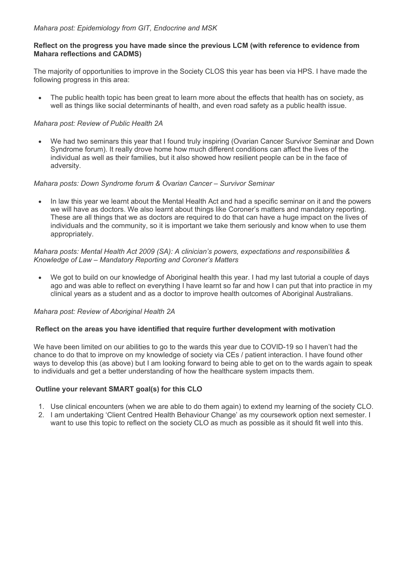# **Reflect on the progress you have made since the previous LCM (with reference to evidence from Mahara reflections and CADMS)**

The majority of opportunities to improve in the Society CLOS this year has been via HPS. I have made the following progress in this area:

The public health topic has been great to learn more about the effects that health has on society, as well as things like social determinants of health, and even road safety as a public health issue.

# *Mahara post: Review of Public Health 2A*

• We had two seminars this year that I found truly inspiring (Ovarian Cancer Survivor Seminar and Down Syndrome forum). It really drove home how much different conditions can affect the lives of the individual as well as their families, but it also showed how resilient people can be in the face of adversity.

# *Mahara posts: Down Syndrome forum & Ovarian Cancer – Survivor Seminar*

• In law this year we learnt about the Mental Health Act and had a specific seminar on it and the powers we will have as doctors. We also learnt about things like Coroner's matters and mandatory reporting. These are all things that we as doctors are required to do that can have a huge impact on the lives of individuals and the community, so it is important we take them seriously and know when to use them appropriately.

## *Mahara posts: Mental Health Act 2009 (SA): A clinician's powers, expectations and responsibilities & Knowledge of Law – Mandatory Reporting and Coroner's Matters*

• We got to build on our knowledge of Aboriginal health this year. I had my last tutorial a couple of days ago and was able to reflect on everything I have learnt so far and how I can put that into practice in my clinical years as a student and as a doctor to improve health outcomes of Aboriginal Australians.

#### *Mahara post: Review of Aboriginal Health 2A*

#### **Reflect on the areas you have identified that require further development with motivation**

We have been limited on our abilities to go to the wards this year due to COVID-19 so I haven't had the chance to do that to improve on my knowledge of society via CEs / patient interaction. I have found other ways to develop this (as above) but I am looking forward to being able to get on to the wards again to speak to individuals and get a better understanding of how the healthcare system impacts them.

# **Outline your relevant SMART goal(s) for this CLO**

- 1. Use clinical encounters (when we are able to do them again) to extend my learning of the society CLO.
- 2. I am undertaking 'Client Centred Health Behaviour Change' as my coursework option next semester. I want to use this topic to reflect on the society CLO as much as possible as it should fit well into this.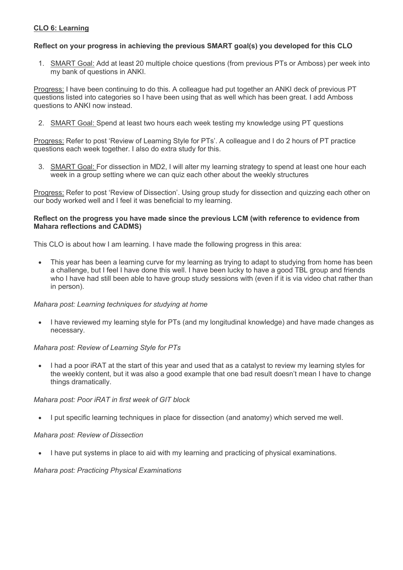# **CLO 6: Learning**

# **Reflect on your progress in achieving the previous SMART goal(s) you developed for this CLO**

1. SMART Goal: Add at least 20 multiple choice questions (from previous PTs or Amboss) per week into my bank of questions in ANKI.

Progress: I have been continuing to do this. A colleague had put together an ANKI deck of previous PT questions listed into categories so I have been using that as well which has been great. I add Amboss questions to ANKI now instead.

2. SMART Goal: Spend at least two hours each week testing my knowledge using PT questions

Progress: Refer to post 'Review of Learning Style for PTs'. A colleague and I do 2 hours of PT practice questions each week together. I also do extra study for this.

3. SMART Goal: For dissection in MD2, I will alter my learning strategy to spend at least one hour each week in a group setting where we can quiz each other about the weekly structures

Progress: Refer to post 'Review of Dissection'. Using group study for dissection and quizzing each other on our body worked well and I feel it was beneficial to my learning.

## **Reflect on the progress you have made since the previous LCM (with reference to evidence from Mahara reflections and CADMS)**

This CLO is about how I am learning. I have made the following progress in this area:

• This year has been a learning curve for my learning as trying to adapt to studying from home has been a challenge, but I feel I have done this well. I have been lucky to have a good TBL group and friends who I have had still been able to have group study sessions with (even if it is via video chat rather than in person).

#### *Mahara post: Learning techniques for studying at home*

• I have reviewed my learning style for PTs (and my longitudinal knowledge) and have made changes as necessary.

# *Mahara post: Review of Learning Style for PTs*

• I had a poor iRAT at the start of this year and used that as a catalyst to review my learning styles for the weekly content, but it was also a good example that one bad result doesn't mean I have to change things dramatically.

# *Mahara post: Poor iRAT in first week of GIT block*

• I put specific learning techniques in place for dissection (and anatomy) which served me well.

# *Mahara post: Review of Dissection*

• I have put systems in place to aid with my learning and practicing of physical examinations.

#### *Mahara post: Practicing Physical Examinations*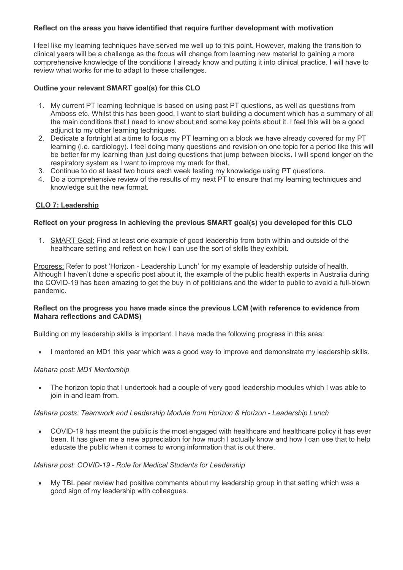# **Reflect on the areas you have identified that require further development with motivation**

I feel like my learning techniques have served me well up to this point. However, making the transition to clinical years will be a challenge as the focus will change from learning new material to gaining a more comprehensive knowledge of the conditions I already know and putting it into clinical practice. I will have to review what works for me to adapt to these challenges.

# **Outline your relevant SMART goal(s) for this CLO**

- 1. My current PT learning technique is based on using past PT questions, as well as questions from Amboss etc. Whilst this has been good, I want to start building a document which has a summary of all the main conditions that I need to know about and some key points about it. I feel this will be a good adjunct to my other learning techniques.
- 2. Dedicate a fortnight at a time to focus my PT learning on a block we have already covered for my PT learning (i.e. cardiology). I feel doing many questions and revision on one topic for a period like this will be better for my learning than just doing questions that jump between blocks. I will spend longer on the respiratory system as I want to improve my mark for that.
- 3. Continue to do at least two hours each week testing my knowledge using PT questions.
- 4. Do a comprehensive review of the results of my next PT to ensure that my learning techniques and knowledge suit the new format.

# **CLO 7: Leadership**

# **Reflect on your progress in achieving the previous SMART goal(s) you developed for this CLO**

1. SMART Goal: Find at least one example of good leadership from both within and outside of the healthcare setting and reflect on how I can use the sort of skills they exhibit.

Progress: Refer to post 'Horizon - Leadership Lunch' for my example of leadership outside of health. Although I haven't done a specific post about it, the example of the public health experts in Australia during the COVID-19 has been amazing to get the buy in of politicians and the wider to public to avoid a full-blown pandemic.

#### **Reflect on the progress you have made since the previous LCM (with reference to evidence from Mahara reflections and CADMS)**

Building on my leadership skills is important. I have made the following progress in this area:

• I mentored an MD1 this year which was a good way to improve and demonstrate my leadership skills.

#### *Mahara post: MD1 Mentorship*

• The horizon topic that I undertook had a couple of very good leadership modules which I was able to join in and learn from.

#### *Mahara posts: Teamwork and Leadership Module from Horizon & Horizon - Leadership Lunch*

• COVID-19 has meant the public is the most engaged with healthcare and healthcare policy it has ever been. It has given me a new appreciation for how much I actually know and how I can use that to help educate the public when it comes to wrong information that is out there.

#### *Mahara post: COVID-19 - Role for Medical Students for Leadership*

• My TBL peer review had positive comments about my leadership group in that setting which was a good sign of my leadership with colleagues.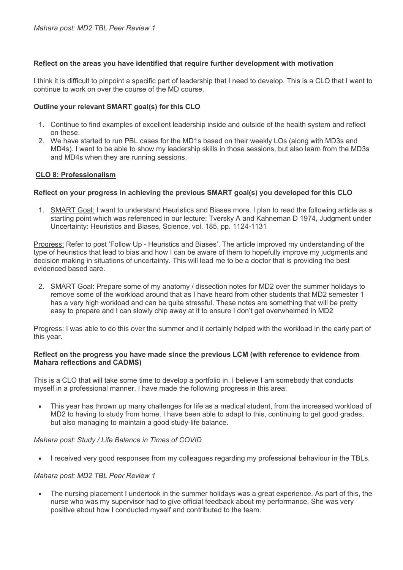# **Reflect on the areas you have identified that require further development with motivation**

I think it is difficult to pinpoint a specific part of leadership that I need to develop. This is a CLO that I want to continue to work on over the course of the MD course.

## **Outline your relevant SMART goal(s) for this CLO**

- 1. Continue to find examples of excellent leadership inside and outside of the health system and reflect on these.
- 2. We have started to run PBL cases for the MD1s based on their weekly LOs (along with MD3s and MD4s). I want to be able to show my leadership skills in those sessions, but also learn from the MD3s and MD4s when they are running sessions.

#### **CLO 8: Professionalism**

# **Reflect on your progress in achieving the previous SMART goal(s) you developed for this CLO**

1. SMART Goal: I want to understand Heuristics and Biases more. I plan to read the following article as a starting point which was referenced in our lecture: Tversky A and Kahneman D 1974, Judgment under Uncertainty: Heuristics and Biases, Science, vol. 185, pp. 1124-1131

Progress: Refer to post 'Follow Up - Heuristics and Biases'. The article improved my understanding of the type of heuristics that lead to bias and how I can be aware of them to hopefully improve my judgments and decision making in situations of uncertainty. This will lead me to be a doctor that is providing the best evidenced based care.

2. SMART Goal: Prepare some of my anatomy / dissection notes for MD2 over the summer holidays to remove some of the workload around that as I have heard from other students that MD2 semester 1 has a very high workload and can be quite stressful. These notes are something that will be pretty easy to prepare and I can slowly chip away at it to ensure I don't get overwhelmed in MD2

Progress: I was able to do this over the summer and it certainly helped with the workload in the early part of this year.

#### **Reflect on the progress you have made since the previous LCM (with reference to evidence from Mahara reflections and CADMS)**

This is a CLO that will take some time to develop a portfolio in. I believe I am somebody that conducts myself in a professional manner. I have made the following progress in this area:

• This year has thrown up many challenges for life as a medical student, from the increased workload of MD2 to having to study from home. I have been able to adapt to this, continuing to get good grades, but also managing to maintain a good study-life balance.

#### *Mahara post: Study / Life Balance in Times of COVID*

• I received very good responses from my colleagues regarding my professional behaviour in the TBLs.

#### *Mahara post: MD2 TBL Peer Review 1*

• The nursing placement I undertook in the summer holidays was a great experience. As part of this, the nurse who was my supervisor had to give official feedback about my performance. She was very positive about how I conducted myself and contributed to the team.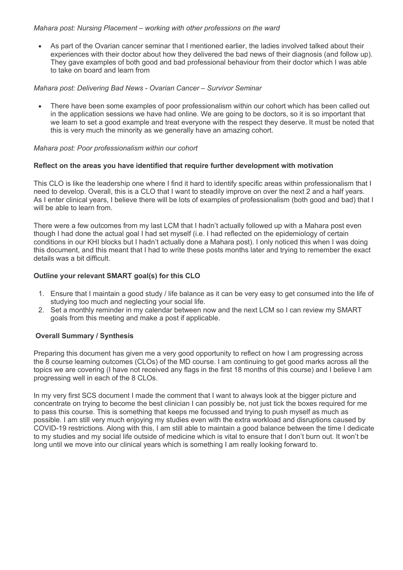# *Mahara post: Nursing Placement – working with other professions on the ward*

• As part of the Ovarian cancer seminar that I mentioned earlier, the ladies involved talked about their experiences with their doctor about how they delivered the bad news of their diagnosis (and follow up). They gave examples of both good and bad professional behaviour from their doctor which I was able to take on board and learn from

# *Mahara post: Delivering Bad News - Ovarian Cancer – Survivor Seminar*

• There have been some examples of poor professionalism within our cohort which has been called out in the application sessions we have had online. We are going to be doctors, so it is so important that we learn to set a good example and treat everyone with the respect they deserve. It must be noted that this is very much the minority as we generally have an amazing cohort.

#### *Mahara post: Poor professionalism within our cohort*

# **Reflect on the areas you have identified that require further development with motivation**

This CLO is like the leadership one where I find it hard to identify specific areas within professionalism that I need to develop. Overall, this is a CLO that I want to steadily improve on over the next 2 and a half years. As I enter clinical years, I believe there will be lots of examples of professionalism (both good and bad) that I will be able to learn from.

There were a few outcomes from my last LCM that I hadn't actually followed up with a Mahara post even though I had done the actual goal I had set myself (i.e. I had reflected on the epidemiology of certain conditions in our KHI blocks but I hadn't actually done a Mahara post). I only noticed this when I was doing this document, and this meant that I had to write these posts months later and trying to remember the exact details was a bit difficult.

# **Outline your relevant SMART goal(s) for this CLO**

- 1. Ensure that I maintain a good study / life balance as it can be very easy to get consumed into the life of studying too much and neglecting your social life.
- 2. Set a monthly reminder in my calendar between now and the next LCM so I can review my SMART goals from this meeting and make a post if applicable.

# **Overall Summary / Synthesis**

Preparing this document has given me a very good opportunity to reflect on how I am progressing across the 8 course learning outcomes (CLOs) of the MD course. I am continuing to get good marks across all the topics we are covering (I have not received any flags in the first 18 months of this course) and I believe I am progressing well in each of the 8 CLOs.

In my very first SCS document I made the comment that I want to always look at the bigger picture and concentrate on trying to become the best clinician I can possibly be, not just tick the boxes required for me to pass this course. This is something that keeps me focussed and trying to push myself as much as possible. I am still very much enjoying my studies even with the extra workload and disruptions caused by COVID-19 restrictions. Along with this, I am still able to maintain a good balance between the time I dedicate to my studies and my social life outside of medicine which is vital to ensure that I don't burn out. It won't be long until we move into our clinical years which is something I am really looking forward to.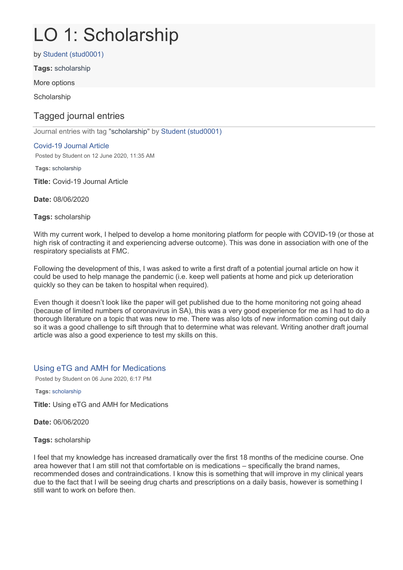# LO 1: Scholarship

by Student (stud0001)

**Tags:** scholarship

More options

**Scholarship** 

# Tagged journal entries

Journal entries with tag "scholarship" by Student (stud0001)

# Covid-19 Journal Article

Posted by Student on 12 June 2020, 11:35 AM

**Tags:** scholarship

**Title:** Covid-19 Journal Article

**Date:** 08/06/2020

**Tags:** scholarship

With my current work, I helped to develop a home monitoring platform for people with COVID-19 (or those at high risk of contracting it and experiencing adverse outcome). This was done in association with one of the respiratory specialists at FMC.

Following the development of this, I was asked to write a first draft of a potential journal article on how it could be used to help manage the pandemic (i.e. keep well patients at home and pick up deterioration quickly so they can be taken to hospital when required).

Even though it doesn't look like the paper will get published due to the home monitoring not going ahead (because of limited numbers of coronavirus in SA), this was a very good experience for me as I had to do a thorough literature on a topic that was new to me. There was also lots of new information coming out daily so it was a good challenge to sift through that to determine what was relevant. Writing another draft journal article was also a good experience to test my skills on this.

# Using eTG and AMH for Medications

Posted by Student on 06 June 2020, 6:17 PM

**Tags:** scholarship

**Title:** Using eTG and AMH for Medications

**Date:** 06/06/2020

**Tags:** scholarship

I feel that my knowledge has increased dramatically over the first 18 months of the medicine course. One area however that I am still not that comfortable on is medications – specifically the brand names, recommended doses and contraindications. I know this is something that will improve in my clinical years due to the fact that I will be seeing drug charts and prescriptions on a daily basis, however is something I still want to work on before then.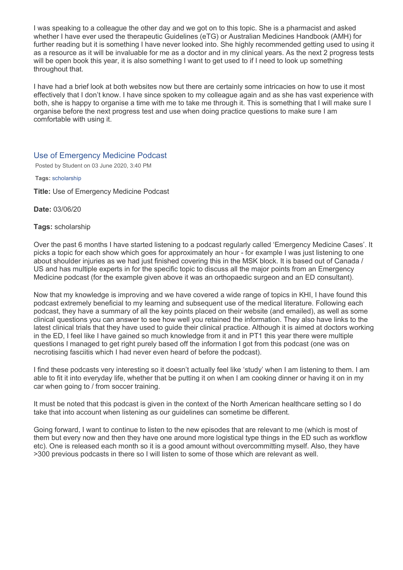I was speaking to a colleague the other day and we got on to this topic. She is a pharmacist and asked whether I have ever used the therapeutic Guidelines (eTG) or Australian Medicines Handbook (AMH) for further reading but it is something I have never looked into. She highly recommended getting used to using it as a resource as it will be invaluable for me as a doctor and in my clinical years. As the next 2 progress tests will be open book this year, it is also something I want to get used to if I need to look up something throughout that.

I have had a brief look at both websites now but there are certainly some intricacies on how to use it most effectively that I don't know. I have since spoken to my colleague again and as she has vast experience with both, she is happy to organise a time with me to take me through it. This is something that I will make sure I organise before the next progress test and use when doing practice questions to make sure I am comfortable with using it.

# Use of Emergency Medicine Podcast

Posted by Student on 03 June 2020, 3:40 PM

**Tags:** scholarship

**Title:** Use of Emergency Medicine Podcast

**Date:** 03/06/20

#### **Tags:** scholarship

Over the past 6 months I have started listening to a podcast regularly called 'Emergency Medicine Cases'. It picks a topic for each show which goes for approximately an hour - for example I was just listening to one about shoulder injuries as we had just finished covering this in the MSK block. It is based out of Canada / US and has multiple experts in for the specific topic to discuss all the major points from an Emergency Medicine podcast (for the example given above it was an orthopaedic surgeon and an ED consultant).

Now that my knowledge is improving and we have covered a wide range of topics in KHI, I have found this podcast extremely beneficial to my learning and subsequent use of the medical literature. Following each podcast, they have a summary of all the key points placed on their website (and emailed), as well as some clinical questions you can answer to see how well you retained the information. They also have links to the latest clinical trials that they have used to guide their clinical practice. Although it is aimed at doctors working in the ED, I feel like I have gained so much knowledge from it and in PT1 this year there were multiple questions I managed to get right purely based off the information I got from this podcast (one was on necrotising fasciitis which I had never even heard of before the podcast).

I find these podcasts very interesting so it doesn't actually feel like 'study' when I am listening to them. I am able to fit it into everyday life, whether that be putting it on when I am cooking dinner or having it on in my car when going to / from soccer training.

It must be noted that this podcast is given in the context of the North American healthcare setting so I do take that into account when listening as our guidelines can sometime be different.

Going forward, I want to continue to listen to the new episodes that are relevant to me (which is most of them but every now and then they have one around more logistical type things in the ED such as workflow etc). One is released each month so it is a good amount without overcommitting myself. Also, they have >300 previous podcasts in there so I will listen to some of those which are relevant as well.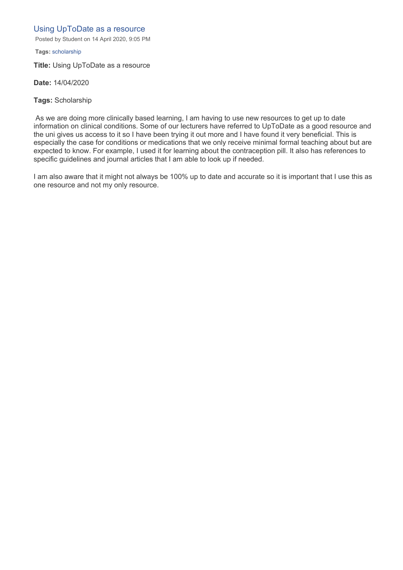# Using UpToDate as a resource

Posted by Student on 14 April 2020, 9:05 PM

**Tags:** scholarship

**Title:** Using UpToDate as a resource

**Date:** 14/04/2020

**Tags:** Scholarship

As we are doing more clinically based learning, I am having to use new resources to get up to date information on clinical conditions. Some of our lecturers have referred to UpToDate as a good resource and the uni gives us access to it so I have been trying it out more and I have found it very beneficial. This is especially the case for conditions or medications that we only receive minimal formal teaching about but are expected to know. For example, I used it for learning about the contraception pill. It also has references to specific guidelines and journal articles that I am able to look up if needed.

I am also aware that it might not always be 100% up to date and accurate so it is important that I use this as one resource and not my only resource.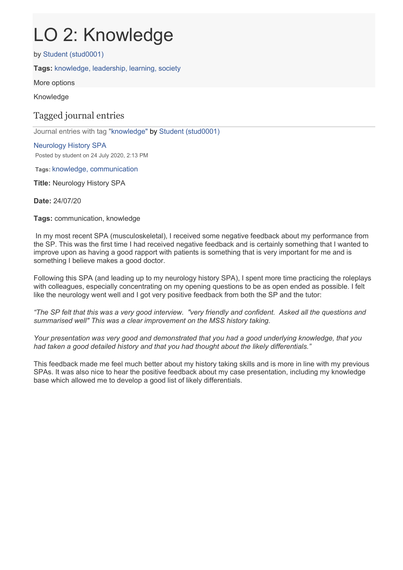# LO 2: Knowledge

by Student (stud0001)

**Tags:** knowledge, leadership, learning, society

More options

Knowledge

# Tagged journal entries

Journal entries with tag "knowledge" by Student (stud0001)

# Neurology History SPA Posted by student on 24 July 2020, 2:13 PM

**Tags:** knowledge, communication

**Title:** Neurology History SPA

**Date:** 24/07/20

**Tags:** communication, knowledge

In my most recent SPA (musculoskeletal), I received some negative feedback about my performance from the SP. This was the first time I had received negative feedback and is certainly something that I wanted to improve upon as having a good rapport with patients is something that is very important for me and is something I believe makes a good doctor.

Following this SPA (and leading up to my neurology history SPA), I spent more time practicing the roleplays with colleagues, especially concentrating on my opening questions to be as open ended as possible. I felt like the neurology went well and I got very positive feedback from both the SP and the tutor:

*"The SP felt that this was a very good interview. "very friendly and confident. Asked all the questions and summarised well" This was a clear improvement on the MSS history taking.*

*Your presentation was very good and demonstrated that you had a good underlying knowledge, that you had taken a good detailed history and that you had thought about the likely differentials."*

This feedback made me feel much better about my history taking skills and is more in line with my previous SPAs. It was also nice to hear the positive feedback about my case presentation, including my knowledge base which allowed me to develop a good list of likely differentials.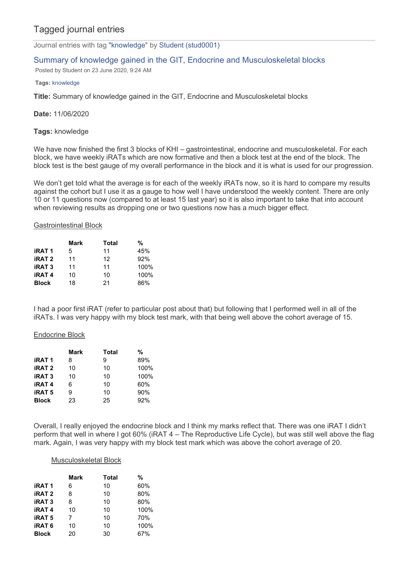# Tagged journal entries

Journal entries with tag "knowledge" by Student (stud0001)

# Summary of knowledge gained in the GIT, Endocrine and Musculoskeletal blocks

Posted by Student on 23 June 2020, 9:24 AM

#### **Tags:** knowledge

**Title:** Summary of knowledge gained in the GIT, Endocrine and Musculoskeletal blocks

#### **Date:** 11/06/2020

#### **Tags:** knowledge

We have now finished the first 3 blocks of KHI – gastrointestinal, endocrine and musculoskeletal. For each block, we have weekly iRATs which are now formative and then a block test at the end of the block. The block test is the best gauge of my overall performance in the block and it is what is used for our progression.

We don't get told what the average is for each of the weekly iRATs now, so it is hard to compare my results against the cohort but I use it as a gauge to how well I have understood the weekly content. There are only 10 or 11 questions now (compared to at least 15 last year) so it is also important to take that into account when reviewing results as dropping one or two questions now has a much bigger effect.

#### Gastrointestinal Block

|               | Mark | Total | %    |
|---------------|------|-------|------|
| <b>iRAT1</b>  | 5    | 11    | 45%  |
| <b>iRAT 2</b> | 11   | 12    | 92%  |
| <b>iRAT3</b>  | 11   | 11    | 100% |
| <b>iRAT4</b>  | 10   | 10    | 100% |
| <b>Block</b>  | 18   | 21    | 86%  |

I had a poor first iRAT (refer to particular post about that) but following that I performed well in all of the iRATs. I was very happy with my block test mark, with that being well above the cohort average of 15.

#### Endocrine Block

|               | Mark | Total | %    |
|---------------|------|-------|------|
| <b>iRAT1</b>  | 8    | 9     | 89%  |
| <b>iRAT 2</b> | 10   | 10    | 100% |
| <b>iRAT3</b>  | 10   | 10    | 100% |
| <b>iRAT4</b>  | 6    | 10    | 60%  |
| <b>iRAT 5</b> | 9    | 10    | 90%  |
| <b>Block</b>  | 23   | 25    | 92%  |

Overall, I really enjoyed the endocrine block and I think my marks reflect that. There was one iRAT I didn't perform that well in where I got 60% (iRAT 4 – The Reproductive Life Cycle), but was still well above the flag mark. Again, I was very happy with my block test mark which was above the cohort average of 20.

#### Musculoskeletal Block

|               | Mark | Total | %    |
|---------------|------|-------|------|
| <b>iRAT1</b>  | 6    | 10    | 60%  |
| <b>iRAT 2</b> | 8    | 10    | 80%  |
| <b>iRAT3</b>  | 8    | 10    | 80%  |
| <b>iRAT4</b>  | 10   | 10    | 100% |
| <b>iRAT 5</b> | 7    | 10    | 70%  |
| <b>iRAT 6</b> | 10   | 10    | 100% |
| <b>Block</b>  | 20   | 30    | 67%  |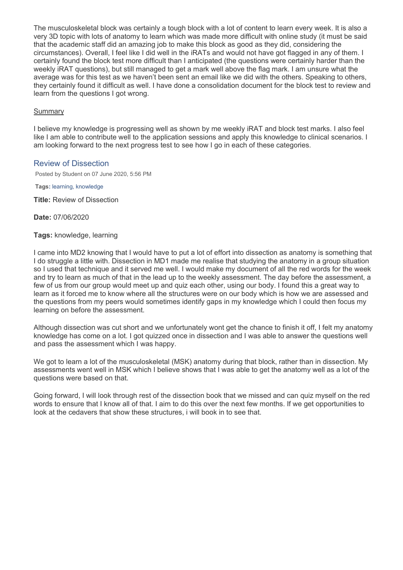The musculoskeletal block was certainly a tough block with a lot of content to learn every week. It is also a very 3D topic with lots of anatomy to learn which was made more difficult with online study (it must be said that the academic staff did an amazing job to make this block as good as they did, considering the circumstances). Overall, I feel like I did well in the iRATs and would not have got flagged in any of them. I certainly found the block test more difficult than I anticipated (the questions were certainly harder than the weekly iRAT questions), but still managed to get a mark well above the flag mark. I am unsure what the average was for this test as we haven't been sent an email like we did with the others. Speaking to others, they certainly found it difficult as well. I have done a consolidation document for the block test to review and learn from the questions I got wrong.

## **Summary**

I believe my knowledge is progressing well as shown by me weekly iRAT and block test marks. I also feel like I am able to contribute well to the application sessions and apply this knowledge to clinical scenarios. I am looking forward to the next progress test to see how I go in each of these categories.

# Review of Dissection

Posted by Student on 07 June 2020, 5:56 PM

**Tags:** learning, knowledge

**Title:** Review of Dissection

**Date:** 07/06/2020

# **Tags:** knowledge, learning

I came into MD2 knowing that I would have to put a lot of effort into dissection as anatomy is something that I do struggle a little with. Dissection in MD1 made me realise that studying the anatomy in a group situation so I used that technique and it served me well. I would make my document of all the red words for the week and try to learn as much of that in the lead up to the weekly assessment. The day before the assessment, a few of us from our group would meet up and quiz each other, using our body. I found this a great way to learn as it forced me to know where all the structures were on our body which is how we are assessed and the questions from my peers would sometimes identify gaps in my knowledge which I could then focus my learning on before the assessment.

Although dissection was cut short and we unfortunately wont get the chance to finish it off, I felt my anatomy knowledge has come on a lot. I got quizzed once in dissection and I was able to answer the questions well and pass the assessment which I was happy.

We got to learn a lot of the musculoskeletal (MSK) anatomy during that block, rather than in dissection. My assessments went well in MSK which I believe shows that I was able to get the anatomy well as a lot of the questions were based on that.

Going forward, I will look through rest of the dissection book that we missed and can quiz myself on the red words to ensure that I know all of that. I aim to do this over the next few months. If we get opportunities to look at the cedavers that show these structures, i will book in to see that.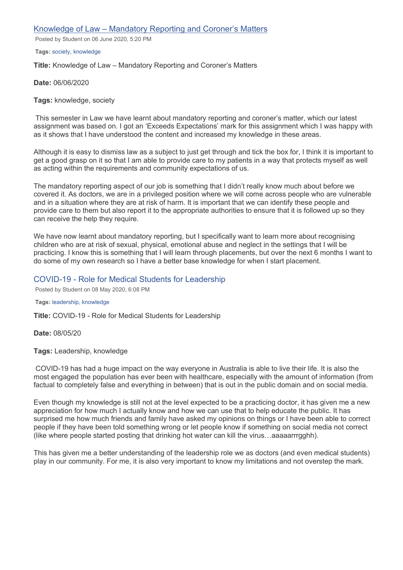## Knowledge of Law – [Mandatory Reporting and Coroner's Matters](https://eportfolio.flinders.edu.au/artefact/artefact.php?artefact=260265&view=42593)

Posted by Student on 06 June 2020, 5:20 PM

**Tags:** society, knowledge

**Title:** Knowledge of Law – Mandatory Reporting and Coroner's Matters

**Date:** 06/06/2020

**Tags:** knowledge, society

This semester in Law we have learnt about mandatory reporting and coroner's matter, which our latest assignment was based on. I got an 'Exceeds Expectations' mark for this assignment which I was happy with as it shows that I have understood the content and increased my knowledge in these areas.

Although it is easy to dismiss law as a subject to just get through and tick the box for, I think it is important to get a good grasp on it so that I am able to provide care to my patients in a way that protects myself as well as acting within the requirements and community expectations of us.

The mandatory reporting aspect of our job is something that I didn't really know much about before we covered it. As doctors, we are in a privileged position where we will come across people who are vulnerable and in a situation where they are at risk of harm. It is important that we can identify these people and provide care to them but also report it to the appropriate authorities to ensure that it is followed up so they can receive the help they require.

We have now learnt about mandatory reporting, but I specifically want to learn more about recognising children who are at risk of sexual, physical, emotional abuse and neglect in the settings that I will be practicing. I know this is something that I will learn through placements, but over the next 6 months I want to do some of my own research so I have a better base knowledge for when I start placement.

# COVID-19 - Role for Medical Students for Leadership

Posted by Student on 08 May 2020, 6:08 PM

#### **Tags:** leadership, knowledge

**Title:** COVID-19 - Role for Medical Students for Leadership

**Date:** 08/05/20

**Tags:** Leadership, knowledge

COVID-19 has had a huge impact on the way everyone in Australia is able to live their life. It is also the most engaged the population has ever been with healthcare, especially with the amount of information (from factual to completely false and everything in between) that is out in the public domain and on social media.

Even though my knowledge is still not at the level expected to be a practicing doctor, it has given me a new appreciation for how much I actually know and how we can use that to help educate the public. It has surprised me how much friends and family have asked my opinions on things or I have been able to correct people if they have been told something wrong or let people know if something on social media not correct (like where people started posting that drinking hot water can kill the virus…aaaaarrrgghh).

This has given me a better understanding of the leadership role we as doctors (and even medical students) play in our community. For me, it is also very important to know my limitations and not overstep the mark.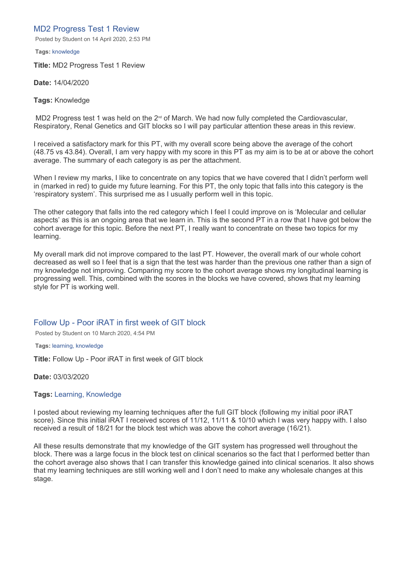# MD2 Progress Test 1 Review

Posted by Student on 14 April 2020, 2:53 PM

**Tags:** knowledge

**Title:** MD2 Progress Test 1 Review

**Date:** 14/04/2020

**Tags:** Knowledge

MD2 Progress test 1 was held on the  $2<sup>nd</sup>$  of March. We had now fully completed the Cardiovascular, Respiratory, Renal Genetics and GIT blocks so I will pay particular attention these areas in this review.

I received a satisfactory mark for this PT, with my overall score being above the average of the cohort (48.75 vs 43.84). Overall, I am very happy with my score in this PT as my aim is to be at or above the cohort average. The summary of each category is as per the attachment.

When I review my marks, I like to concentrate on any topics that we have covered that I didn't perform well in (marked in red) to guide my future learning. For this PT, the only topic that falls into this category is the 'respiratory system'. This surprised me as I usually perform well in this topic.

The other category that falls into the red category which I feel I could improve on is 'Molecular and cellular aspects' as this is an ongoing area that we learn in. This is the second PT in a row that I have got below the cohort average for this topic. Before the next PT, I really want to concentrate on these two topics for my learning.

My overall mark did not improve compared to the last PT. However, the overall mark of our whole cohort decreased as well so I feel that is a sign that the test was harder than the previous one rather than a sign of my knowledge not improving. Comparing my score to the cohort average shows my longitudinal learning is progressing well. This, combined with the scores in the blocks we have covered, shows that my learning style for PT is working well.

Follow Up - Poor iRAT in first week of GIT block

Posted by Student on 10 March 2020, 4:54 PM

**Tags:** learning, knowledge

**Title:** Follow Up - Poor iRAT in first week of GIT block

**Date:** 03/03/2020

#### **Tags:** Learning, Knowledge

I posted about reviewing my learning techniques after the full GIT block (following my initial poor iRAT score). Since this initial iRAT I received scores of 11/12, 11/11 & 10/10 which I was very happy with. I also received a result of 18/21 for the block test which was above the cohort average (16/21).

All these results demonstrate that my knowledge of the GIT system has progressed well throughout the block. There was a large focus in the block test on clinical scenarios so the fact that I performed better than the cohort average also shows that I can transfer this knowledge gained into clinical scenarios. It also shows that my learning techniques are still working well and I don't need to make any wholesale changes at this stage.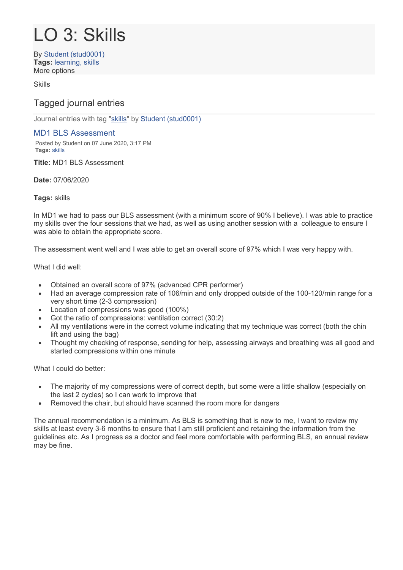# LO 3: Skills

By Student (stud0001) **Tags:** learning, skills More options

Skills

# Tagged journal entries

Journal entries with tag "skills" by Student (stud0001)

# MD1 BLS Assessment

Posted by Student on 07 June 2020, 3:17 PM **Tags:** skills

**Title:** MD1 BLS Assessment

# **Date:** 07/06/2020

# **Tags:** skills

In MD1 we had to pass our BLS assessment (with a minimum score of 90% I believe). I was able to practice my skills over the four sessions that we had, as well as using another session with a colleague to ensure I was able to obtain the appropriate score.

The assessment went well and I was able to get an overall score of 97% which I was very happy with.

# What I did well:

- Obtained an overall score of 97% (advanced CPR performer)
- Had an average compression rate of 106/min and only dropped outside of the 100-120/min range for a very short time (2-3 compression)
- Location of compressions was good (100%)
- Got the ratio of compressions: ventilation correct (30:2)
- All my ventilations were in the correct volume indicating that my technique was correct (both the chin lift and using the bag)
- Thought my checking of response, sending for help, assessing airways and breathing was all good and started compressions within one minute

What I could do better:

- The majority of my compressions were of correct depth, but some were a little shallow (especially on the last 2 cycles) so I can work to improve that
- Removed the chair, but should have scanned the room more for dangers

The annual recommendation is a minimum. As BLS is something that is new to me, I want to review my skills at least every 3-6 months to ensure that I am still proficient and retaining the information from the guidelines etc. As I progress as a doctor and feel more comfortable with performing BLS, an annual review may be fine.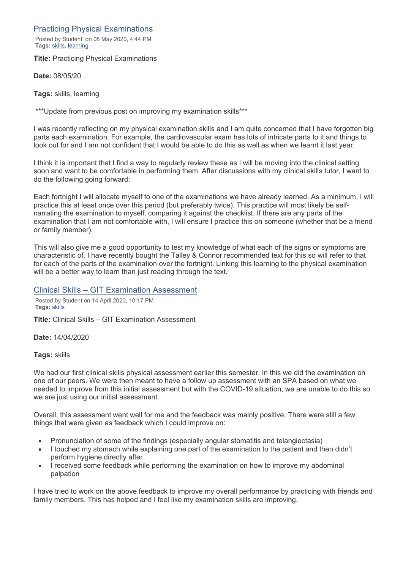Practicing Physical Examinations

Posted by Student on 08 May 2020, 4:44 PM **Tags:** skills, learning

**Title:** Practicing Physical Examinations

**Date:** 08/05/20

**Tags:** skills, learning

\*\*\*Update from previous post on improving my examination skills\*\*\*

I was recently reflecting on my physical examination skills and I am quite concerned that I have forgotten big parts each examination. For example, the cardiovascular exam has lots of intricate parts to it and things to look out for and I am not confident that I would be able to do this as well as when we learnt it last year.

I think it is important that I find a way to regularly review these as I will be moving into the clinical setting soon and want to be comfortable in performing them. After discussions with my clinical skills tutor, I want to do the following going forward:

Each fortnight I will allocate myself to one of the examinations we have already learned. As a minimum, I will practice this at least once over this period (but preferably twice). This practice will most likely be selfnarrating the examination to myself, comparing it against the checklist. If there are any parts of the examination that I am not comfortable with, I will ensure I practice this on someone (whether that be a friend or family member).

This will also give me a good opportunity to test my knowledge of what each of the signs or symptoms are characteristic of. I have recently bought the Talley & Connor recommended text for this so will refer to that for each of the parts of the examination over the fortnight. Linking this learning to the physical examination will be a better way to learn than just reading through the text.

Clinical Skills – GIT Examination Assessment

Posted by Student on 14 April 2020, 10:17 PM **Tags:** skills

**Title:** Clinical Skills – GIT Examination Assessment

**Date:** 14/04/2020

**Tags:** skills

We had our first clinical skills physical assessment earlier this semester. In this we did the examination on one of our peers. We were then meant to have a follow up assessment with an SPA based on what we needed to improve from this initial assessment but with the COVID-19 situation, we are unable to do this so we are just using our initial assessment.

Overall, this assessment went well for me and the feedback was mainly positive. There were still a few things that were given as feedback which I could improve on:

- Pronunciation of some of the findings (especially angular stomatitis and telangiectasia)
- I touched my stomach while explaining one part of the examination to the patient and then didn't perform hygiene directly after
- I received some feedback while performing the examination on how to improve my abdominal palpation

I have tried to work on the above feedback to improve my overall performance by practicing with friends and family members. This has helped and I feel like my examination skills are improving.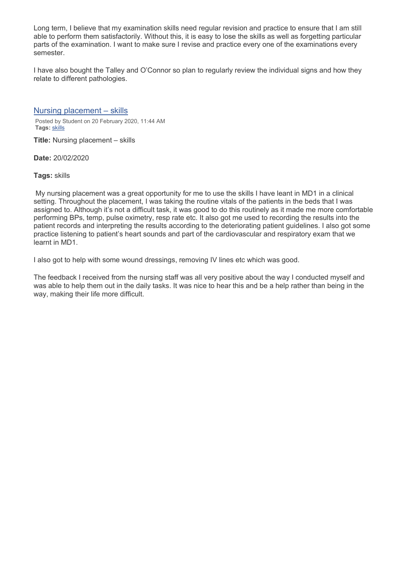Long term, I believe that my examination skills need regular revision and practice to ensure that I am still able to perform them satisfactorily. Without this, it is easy to lose the skills as well as forgetting particular parts of the examination. I want to make sure I revise and practice every one of the examinations every semester.

I have also bought the Talley and O'Connor so plan to regularly review the individual signs and how they relate to different pathologies.

Nursing placement – skills

Posted by Student on 20 February 2020, 11:44 AM **Tags:** skills

**Title:** Nursing placement – skills

**Date:** 20/02/2020

**Tags:** skills

My nursing placement was a great opportunity for me to use the skills I have leant in MD1 in a clinical setting. Throughout the placement, I was taking the routine vitals of the patients in the beds that I was assigned to. Although it's not a difficult task, it was good to do this routinely as it made me more comfortable performing BPs, temp, pulse oximetry, resp rate etc. It also got me used to recording the results into the patient records and interpreting the results according to the deteriorating patient guidelines. I also got some practice listening to patient's heart sounds and part of the cardiovascular and respiratory exam that we learnt in MD1.

I also got to help with some wound dressings, removing IV lines etc which was good.

The feedback I received from the nursing staff was all very positive about the way I conducted myself and was able to help them out in the daily tasks. It was nice to hear this and be a help rather than being in the way, making their life more difficult.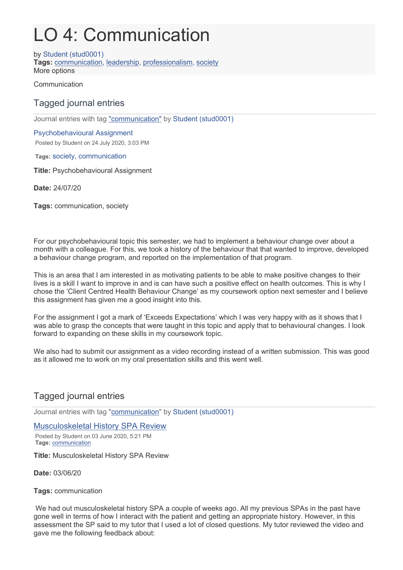# LO 4: Communication

by Student (stud0001) **Tags:** communication, leadership, professionalism, society More options

Communication

# Tagged journal entries

Journal entries with tag "communication" by Student (stud0001)

# Psychobehavioural Assignment

Posted by Student on 24 July 2020, 3:03 PM

**Tags:** society, communication

**Title:** Psychobehavioural Assignment

**Date:** 24/07/20

**Tags:** communication, society

For our psychobehavioural topic this semester, we had to implement a behaviour change over about a month with a colleague. For this, we took a history of the behaviour that that wanted to improve, developed a behaviour change program, and reported on the implementation of that program.

This is an area that I am interested in as motivating patients to be able to make positive changes to their lives is a skill I want to improve in and is can have such a positive effect on health outcomes. This is why I chose the 'Client Centred Health Behaviour Change' as my coursework option next semester and I believe this assignment has given me a good insight into this.

For the assignment I got a mark of 'Exceeds Expectations' which I was very happy with as it shows that I was able to grasp the concepts that were taught in this topic and apply that to behavioural changes. I look forward to expanding on these skills in my coursework topic.

We also had to submit our assignment as a video recording instead of a written submission. This was good as it allowed me to work on my oral presentation skills and this went well.

# Tagged journal entries

Journal entries with tag "communication" by Student (stud0001)

# Musculoskeletal History SPA Review

Posted by Student on 03 June 2020, 5:21 PM **Tags:** communication

**Title:** Musculoskeletal History SPA Review

**Date:** 03/06/20

**Tags:** communication

We had out musculoskeletal history SPA a couple of weeks ago. All my previous SPAs in the past have gone well in terms of how I interact with the patient and getting an appropriate history. However, in this assessment the SP said to my tutor that I used a lot of closed questions. My tutor reviewed the video and gave me the following feedback about: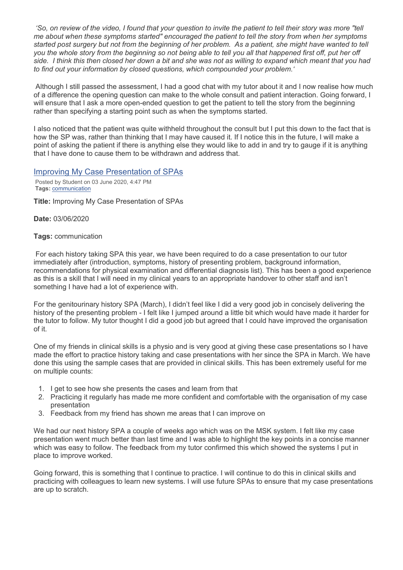*'So, on review of the video, I found that your question to invite the patient to tell their story was more "tell me about when these symptoms started" encouraged the patient to tell the story from when her symptoms started post surgery but not from the beginning of her problem. As a patient, she might have wanted to tell you the whole story from the beginning so not being able to tell you all that happened first off, put her off side. I think this then closed her down a bit and she was not as willing to expand which meant that you had to find out your information by closed questions, which compounded your problem.'*

Although I still passed the assessment, I had a good chat with my tutor about it and I now realise how much of a difference the opening question can make to the whole consult and patient interaction. Going forward, I will ensure that I ask a more open-ended question to get the patient to tell the story from the beginning rather than specifying a starting point such as when the symptoms started.

I also noticed that the patient was quite withheld throughout the consult but I put this down to the fact that is how the SP was, rather than thinking that I may have caused it. If I notice this in the future, I will make a point of asking the patient if there is anything else they would like to add in and try to gauge if it is anything that I have done to cause them to be withdrawn and address that.

# Improving My Case Presentation of SPAs

Posted by Student on 03 June 2020, 4:47 PM **Tags:** communication

**Title:** Improving My Case Presentation of SPAs

**Date:** 03/06/2020

#### **Tags:** communication

For each history taking SPA this year, we have been required to do a case presentation to our tutor immediately after (introduction, symptoms, history of presenting problem, background information, recommendations for physical examination and differential diagnosis list). This has been a good experience as this is a skill that I will need in my clinical years to an appropriate handover to other staff and isn't something I have had a lot of experience with.

For the genitourinary history SPA (March), I didn't feel like I did a very good job in concisely delivering the history of the presenting problem - I felt like I jumped around a little bit which would have made it harder for the tutor to follow. My tutor thought I did a good job but agreed that I could have improved the organisation of it.

One of my friends in clinical skills is a physio and is very good at giving these case presentations so I have made the effort to practice history taking and case presentations with her since the SPA in March. We have done this using the sample cases that are provided in clinical skills. This has been extremely useful for me on multiple counts:

- 1. I get to see how she presents the cases and learn from that
- 2. Practicing it regularly has made me more confident and comfortable with the organisation of my case presentation
- 3. Feedback from my friend has shown me areas that I can improve on

We had our next history SPA a couple of weeks ago which was on the MSK system. I felt like my case presentation went much better than last time and I was able to highlight the key points in a concise manner which was easy to follow. The feedback from my tutor confirmed this which showed the systems I put in place to improve worked.

Going forward, this is something that I continue to practice. I will continue to do this in clinical skills and practicing with colleagues to learn new systems. I will use future SPAs to ensure that my case presentations are up to scratch.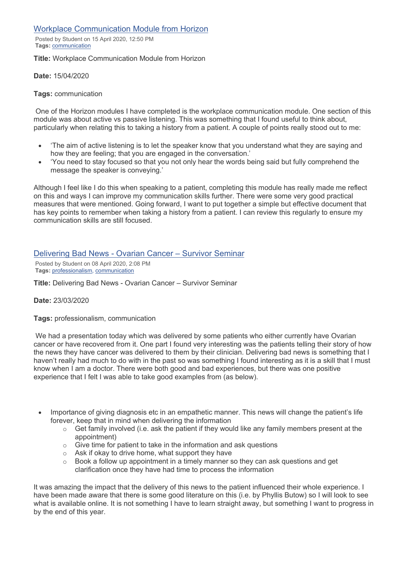# Workplace Communication Module from Horizon

Posted by Student on 15 April 2020, 12:50 PM **Tags:** communication

#### **Title:** Workplace Communication Module from Horizon

**Date:** 15/04/2020

#### **Tags:** communication

One of the Horizon modules I have completed is the workplace communication module. One section of this module was about active vs passive listening. This was something that I found useful to think about, particularly when relating this to taking a history from a patient. A couple of points really stood out to me:

- 'The aim of active listening is to let the speaker know that you understand what they are saying and how they are feeling; that you are engaged in the conversation.'
- 'You need to stay focused so that you not only hear the words being said but fully comprehend the message the speaker is conveying.'

Although I feel like I do this when speaking to a patient, completing this module has really made me reflect on this and ways I can improve my communication skills further. There were some very good practical measures that were mentioned. Going forward, I want to put together a simple but effective document that has key points to remember when taking a history from a patient. I can review this regularly to ensure my communication skills are still focused.

# Delivering Bad News - Ovarian Cancer – Survivor Seminar

Posted by Student on 08 April 2020, 2:08 PM **Tags:** professionalism, communication

**Title:** Delivering Bad News - Ovarian Cancer – Survivor Seminar

#### **Date:** 23/03/2020

**Tags:** professionalism, communication

We had a presentation today which was delivered by some patients who either currently have Ovarian cancer or have recovered from it. One part I found very interesting was the patients telling their story of how the news they have cancer was delivered to them by their clinician. Delivering bad news is something that I haven't really had much to do with in the past so was something I found interesting as it is a skill that I must know when I am a doctor. There were both good and bad experiences, but there was one positive experience that I felt I was able to take good examples from (as below).

- Importance of giving diagnosis etc in an empathetic manner. This news will change the patient's life forever, keep that in mind when delivering the information
	- $\circ$  Get family involved (i.e. ask the patient if they would like any family members present at the appointment)
	- $\circ$  Give time for patient to take in the information and ask questions
	- $\circ$  Ask if okay to drive home, what support they have
	- $\circ$  Book a follow up appointment in a timely manner so they can ask questions and get clarification once they have had time to process the information

It was amazing the impact that the delivery of this news to the patient influenced their whole experience. I have been made aware that there is some good literature on this (i.e. by Phyllis Butow) so I will look to see what is available online. It is not something I have to learn straight away, but something I want to progress in by the end of this year.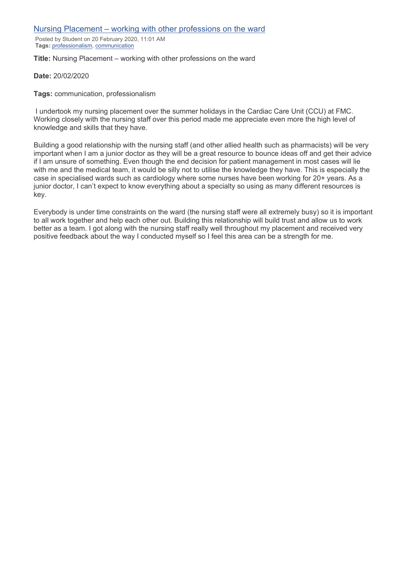## Nursing Placement – working with other professions on the ward

Posted by Student on 20 February 2020, 11:01 AM **Tags:** professionalism, communication

**Title:** Nursing Placement – working with other professions on the ward

#### **Date:** 20/02/2020

**Tags:** communication, professionalism

I undertook my nursing placement over the summer holidays in the Cardiac Care Unit (CCU) at FMC. Working closely with the nursing staff over this period made me appreciate even more the high level of knowledge and skills that they have.

Building a good relationship with the nursing staff (and other allied health such as pharmacists) will be very important when I am a junior doctor as they will be a great resource to bounce ideas off and get their advice if I am unsure of something. Even though the end decision for patient management in most cases will lie with me and the medical team, it would be silly not to utilise the knowledge they have. This is especially the case in specialised wards such as cardiology where some nurses have been working for 20+ years. As a junior doctor, I can't expect to know everything about a specialty so using as many different resources is key.

Everybody is under time constraints on the ward (the nursing staff were all extremely busy) so it is important to all work together and help each other out. Building this relationship will build trust and allow us to work better as a team. I got along with the nursing staff really well throughout my placement and received very positive feedback about the way I conducted myself so I feel this area can be a strength for me.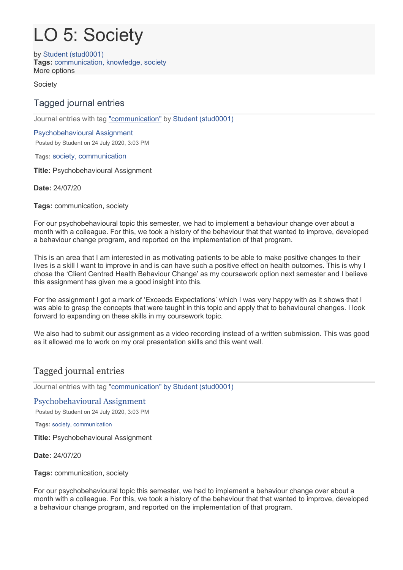# LO 5: Society

by Student (stud0001) **Tags:** communication, knowledge, society More options

**Society** 

# Tagged journal entries

Journal entries with tag "communication" by Student (stud0001)

# Psychobehavioural Assignment

Posted by Student on 24 July 2020, 3:03 PM

**Tags:** society, communication

**Title:** Psychobehavioural Assignment

**Date:** 24/07/20

**Tags:** communication, society

For our psychobehavioural topic this semester, we had to implement a behaviour change over about a month with a colleague. For this, we took a history of the behaviour that that wanted to improve, developed a behaviour change program, and reported on the implementation of that program.

This is an area that I am interested in as motivating patients to be able to make positive changes to their lives is a skill I want to improve in and is can have such a positive effect on health outcomes. This is why I chose the 'Client Centred Health Behaviour Change' as my coursework option next semester and I believe this assignment has given me a good insight into this.

For the assignment I got a mark of 'Exceeds Expectations' which I was very happy with as it shows that I was able to grasp the concepts that were taught in this topic and apply that to behavioural changes. I look forward to expanding on these skills in my coursework topic.

We also had to submit our assignment as a video recording instead of a written submission. This was good as it allowed me to work on my oral presentation skills and this went well.

# Tagged journal entries

Journal entries with tag "communication" by Student (stud0001)

# Psychobehavioural Assignment

Posted by Student on 24 July 2020, 3:03 PM

**Tags:** society, communication

**Title:** Psychobehavioural Assignment

**Date:** 24/07/20

**Tags:** communication, society

For our psychobehavioural topic this semester, we had to implement a behaviour change over about a month with a colleague. For this, we took a history of the behaviour that that wanted to improve, developed a behaviour change program, and reported on the implementation of that program.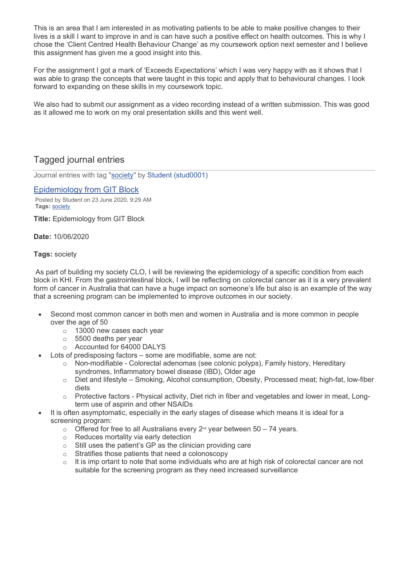This is an area that I am interested in as motivating patients to be able to make positive changes to their lives is a skill I want to improve in and is can have such a positive effect on health outcomes. This is why I chose the 'Client Centred Health Behaviour Change' as my coursework option next semester and I believe this assignment has given me a good insight into this.

For the assignment I got a mark of 'Exceeds Expectations' which I was very happy with as it shows that I was able to grasp the concepts that were taught in this topic and apply that to behavioural changes. I look forward to expanding on these skills in my coursework topic.

We also had to submit our assignment as a video recording instead of a written submission. This was good as it allowed me to work on my oral presentation skills and this went well.

# Tagged journal entries

Journal entries with tag "society" by Student (stud0001)

#### Epidemiology from GIT Block

Posted by Student on 23 June 2020, 9:29 AM **Tags:** society

**Title:** Epidemiology from GIT Block

**Date:** 10/06/2020

# **Tags:** society

As part of building my society CLO, I will be reviewing the epidemiology of a specific condition from each block in KHI. From the gastrointestinal block, I will be reflecting on colorectal cancer as it is a very prevalent form of cancer in Australia that can have a huge impact on someone's life but also is an example of the way that a screening program can be implemented to improve outcomes in our society.

- Second most common cancer in both men and women in Australia and is more common in people over the age of 50
	- o 13000 new cases each year
	- o 5500 deaths per year
	- o Accounted for 64000 DALYS
- Lots of predisposing factors some are modifiable, some are not:
	- $\circ$  Non-modifiable Colorectal adenomas (see colonic polyps), Family history, Hereditary syndromes, Inflammatory bowel disease (IBD), Older age
	- o Diet and lifestyle Smoking, Alcohol consumption, Obesity, Processed meat; high-fat, low-fiber diets
	- o Protective factors Physical activity, Diet rich in fiber and vegetables and lower in meat, Longterm use of aspirin and other NSAIDs
- It is often asymptomatic, especially in the early stages of disease which means it is ideal for a screening program:
	- o Offered for free to all Australians every  $2^{nd}$  year between 50 74 years.
	- o Reduces mortality via early detection
	- o Still uses the patient's GP as the clinician providing care
	- o Stratifies those patients that need a colonoscopy
	- $\circ$  It is imp ortant to note that some individuals who are at high risk of colorectal cancer are not suitable for the screening program as they need increased surveillance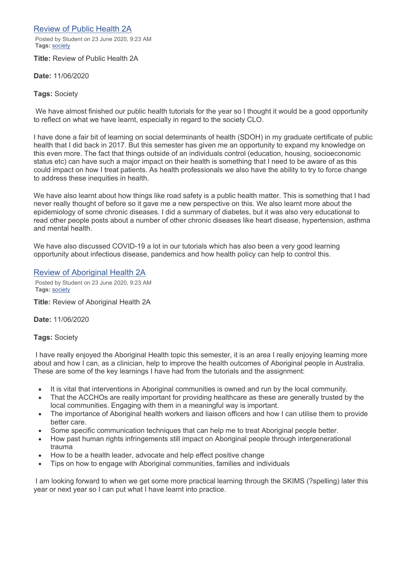Review of Public Health 2A

Posted by Student on 23 June 2020, 9:23 AM **Tags:** society

**Title:** Review of Public Health 2A

**Date:** 11/06/2020

#### **Tags:** Society

We have almost finished our public health tutorials for the year so I thought it would be a good opportunity to reflect on what we have learnt, especially in regard to the society CLO.

I have done a fair bit of learning on social determinants of health (SDOH) in my graduate certificate of public health that I did back in 2017. But this semester has given me an opportunity to expand my knowledge on this even more. The fact that things outside of an individuals control (education, housing, socioeconomic status etc) can have such a major impact on their health is something that I need to be aware of as this could impact on how I treat patients. As health professionals we also have the ability to try to force change to address these inequities in health.

We have also learnt about how things like road safety is a public health matter. This is something that I had never really thought of before so it gave me a new perspective on this. We also learnt more about the epidemiology of some chronic diseases. I did a summary of diabetes, but it was also very educational to read other people posts about a number of other chronic diseases like heart disease, hypertension, asthma and mental health.

We have also discussed COVID-19 a lot in our tutorials which has also been a very good learning opportunity about infectious disease, pandemics and how health policy can help to control this.

# Review of Aboriginal Health 2A

Posted by Student on 23 June 2020, 9:23 AM **Tags:** society

**Title:** Review of Aboriginal Health 2A

**Date:** 11/06/2020

**Tags:** Society

I have really enjoyed the Aboriginal Health topic this semester, it is an area I really enjoying learning more about and how I can, as a clinician, help to improve the health outcomes of Aboriginal people in Australia. These are some of the key learnings I have had from the tutorials and the assignment:

- It is vital that interventions in Aboriginal communities is owned and run by the local community.
- That the ACCHOs are really important for providing healthcare as these are generally trusted by the local communities. Engaging with them in a meaningful way is important.
- The importance of Aboriginal health workers and liaison officers and how I can utilise them to provide better care.
- Some specific communication techniques that can help me to treat Aboriginal people better.
- How past human rights infringements still impact on Aboriginal people through intergenerational trauma
- How to be a health leader, advocate and help effect positive change
- Tips on how to engage with Aboriginal communities, families and individuals

I am looking forward to when we get some more practical learning through the SKIMS (?spelling) later this year or next year so I can put what I have learnt into practice.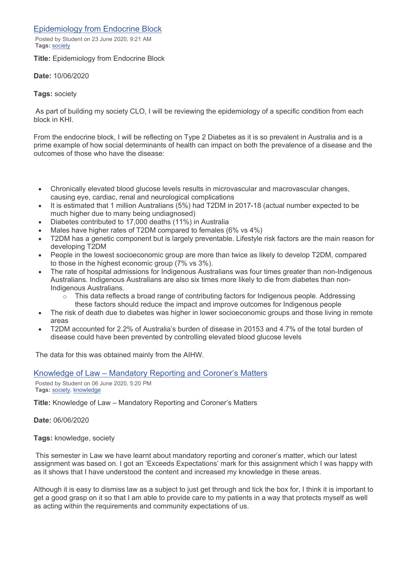# Epidemiology from Endocrine Block

Posted by Student on 23 June 2020, 9:21 AM **Tags:** society

**Title:** Epidemiology from Endocrine Block

**Date:** 10/06/2020

# **Tags:** society

As part of building my society CLO, I will be reviewing the epidemiology of a specific condition from each block in KHI.

From the endocrine block, I will be reflecting on Type 2 Diabetes as it is so prevalent in Australia and is a prime example of how social determinants of health can impact on both the prevalence of a disease and the outcomes of those who have the disease:

- Chronically elevated blood glucose levels results in microvascular and macrovascular changes, causing eye, cardiac, renal and neurological complications
- It is estimated that 1 million Australians (5%) had T2DM in 2017-18 (actual number expected to be much higher due to many being undiagnosed)
- Diabetes contributed to 17,000 deaths (11%) in Australia
- Males have higher rates of T2DM compared to females (6% vs 4%)
- T2DM has a genetic component but is largely preventable. Lifestyle risk factors are the main reason for developing T2DM
- People in the lowest socioeconomic group are more than twice as likely to develop T2DM, compared to those in the highest economic group (7% vs 3%).
- The rate of hospital admissions for Indigenous Australians was four times greater than non-Indigenous Australians. Indigenous Australians are also six times more likely to die from diabetes than non-Indigenous Australians.
	- $\circ$  This data reflects a broad range of contributing factors for Indigenous people. Addressing these factors should reduce the impact and improve outcomes for Indigenous people
- The risk of death due to diabetes was higher in lower socioeconomic groups and those living in remote areas
- T2DM accounted for 2.2% of Australia's burden of disease in 20153 and 4.7% of the total burden of disease could have been prevented by controlling elevated blood glucose levels

The data for this was obtained mainly from the AIHW.

# Knowledge of Law – Mandatory Reporting and Coroner's Matters

Posted by Student on 06 June 2020, 5:20 PM **Tags:** society, knowledge

**Title:** Knowledge of Law – Mandatory Reporting and Coroner's Matters

**Date:** 06/06/2020

**Tags:** knowledge, society

This semester in Law we have learnt about mandatory reporting and coroner's matter, which our latest assignment was based on. I got an 'Exceeds Expectations' mark for this assignment which I was happy with as it shows that I have understood the content and increased my knowledge in these areas.

Although it is easy to dismiss law as a subject to just get through and tick the box for, I think it is important to get a good grasp on it so that I am able to provide care to my patients in a way that protects myself as well as acting within the requirements and community expectations of us.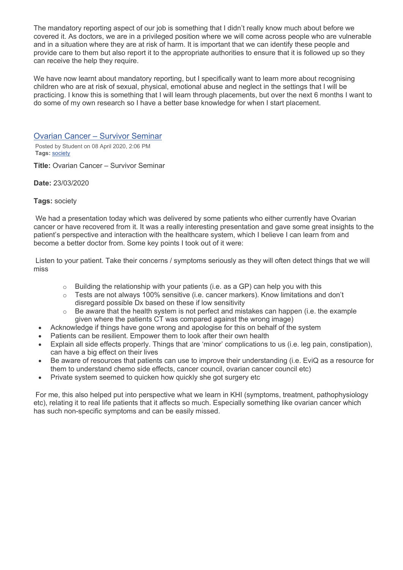The mandatory reporting aspect of our job is something that I didn't really know much about before we covered it. As doctors, we are in a privileged position where we will come across people who are vulnerable and in a situation where they are at risk of harm. It is important that we can identify these people and provide care to them but also report it to the appropriate authorities to ensure that it is followed up so they can receive the help they require.

We have now learnt about mandatory reporting, but I specifically want to learn more about recognising children who are at risk of sexual, physical, emotional abuse and neglect in the settings that I will be practicing. I know this is something that I will learn through placements, but over the next 6 months I want to do some of my own research so I have a better base knowledge for when I start placement.

Ovarian Cancer – Survivor Seminar

Posted by Student on 08 April 2020, 2:06 PM **Tags:** society

**Title:** Ovarian Cancer – Survivor Seminar

**Date:** 23/03/2020

# **Tags:** society

We had a presentation today which was delivered by some patients who either currently have Ovarian cancer or have recovered from it. It was a really interesting presentation and gave some great insights to the patient's perspective and interaction with the healthcare system, which I believe I can learn from and become a better doctor from. Some key points I took out of it were:

Listen to your patient. Take their concerns / symptoms seriously as they will often detect things that we will miss

- $\circ$  Building the relationship with your patients (i.e. as a GP) can help you with this
- $\circ$  Tests are not always 100% sensitive (i.e. cancer markers). Know limitations and don't disregard possible Dx based on these if low sensitivity
- $\circ$  Be aware that the health system is not perfect and mistakes can happen (i.e. the example given where the patients CT was compared against the wrong image)
- Acknowledge if things have gone wrong and apologise for this on behalf of the system
- Patients can be resilient. Empower them to look after their own health
- Explain all side effects properly. Things that are 'minor' complications to us (i.e. leg pain, constipation), can have a big effect on their lives
- Be aware of resources that patients can use to improve their understanding (i.e. EviQ as a resource for them to understand chemo side effects, cancer council, ovarian cancer council etc)
- Private system seemed to quicken how quickly she got surgery etc

For me, this also helped put into perspective what we learn in KHI (symptoms, treatment, pathophysiology etc), relating it to real life patients that it affects so much. Especially something like ovarian cancer which has such non-specific symptoms and can be easily missed.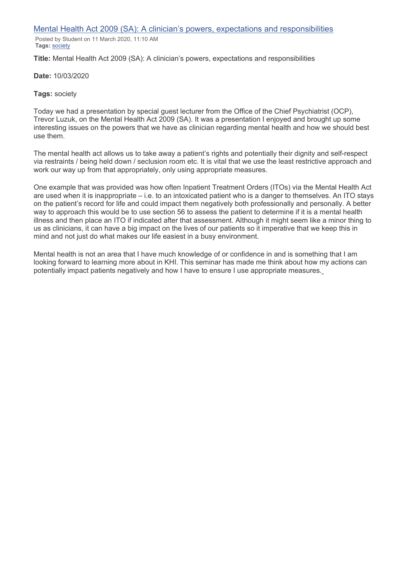Mental Health Act 2009 (SA): A clinician's powers, expectations and responsibilities

Posted by Student on 11 March 2020, 11:10 AM **Tags:** society

**Title:** Mental Health Act 2009 (SA): A clinician's powers, expectations and responsibilities

**Date:** 10/03/2020

## **Tags:** society

Today we had a presentation by special guest lecturer from the Office of the Chief Psychiatrist (OCP), Trevor Luzuk, on the Mental Health Act 2009 (SA). It was a presentation I enjoyed and brought up some interesting issues on the powers that we have as clinician regarding mental health and how we should best use them.

The mental health act allows us to take away a patient's rights and potentially their dignity and self-respect via restraints / being held down / seclusion room etc. It is vital that we use the least restrictive approach and work our way up from that appropriately, only using appropriate measures.

One example that was provided was how often Inpatient Treatment Orders (ITOs) via the Mental Health Act are used when it is inappropriate – i.e. to an intoxicated patient who is a danger to themselves. An ITO stays on the patient's record for life and could impact them negatively both professionally and personally. A better way to approach this would be to use section 56 to assess the patient to determine if it is a mental health illness and then place an ITO if indicated after that assessment. Although it might seem like a minor thing to us as clinicians, it can have a big impact on the lives of our patients so it imperative that we keep this in mind and not just do what makes our life easiest in a busy environment.

Mental health is not an area that I have much knowledge of or confidence in and is something that I am looking forward to learning more about in KHI. This seminar has made me think about how my actions can potentially impact patients negatively and how I have to ensure I use appropriate measures.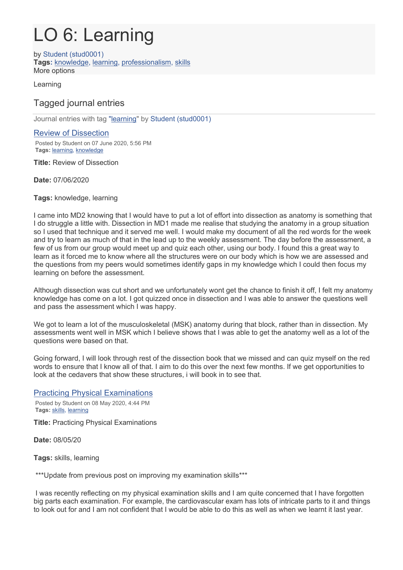# LO 6: Learning

by Student (stud0001) **Tags:** knowledge, learning, professionalism, skills More options

Learning

# Tagged journal entries

Journal entries with tag "learning" by Student (stud0001)

# Review of Dissection

Posted by Student on 07 June 2020, 5:56 PM **Tags:** learning, knowledge

**Title:** Review of Dissection

# **Date:** 07/06/2020

**Tags:** knowledge, learning

I came into MD2 knowing that I would have to put a lot of effort into dissection as anatomy is something that I do struggle a little with. Dissection in MD1 made me realise that studying the anatomy in a group situation so I used that technique and it served me well. I would make my document of all the red words for the week and try to learn as much of that in the lead up to the weekly assessment. The day before the assessment, a few of us from our group would meet up and quiz each other, using our body. I found this a great way to learn as it forced me to know where all the structures were on our body which is how we are assessed and the questions from my peers would sometimes identify gaps in my knowledge which I could then focus my learning on before the assessment.

Although dissection was cut short and we unfortunately wont get the chance to finish it off, I felt my anatomy knowledge has come on a lot. I got quizzed once in dissection and I was able to answer the questions well and pass the assessment which I was happy.

We got to learn a lot of the musculoskeletal (MSK) anatomy during that block, rather than in dissection. My assessments went well in MSK which I believe shows that I was able to get the anatomy well as a lot of the questions were based on that.

Going forward, I will look through rest of the dissection book that we missed and can quiz myself on the red words to ensure that I know all of that. I aim to do this over the next few months. If we get opportunities to look at the cedavers that show these structures, i will book in to see that.

Practicing Physical Examinations

Posted by Student on 08 May 2020, 4:44 PM **Tags:** skills, learning

**Title:** Practicing Physical Examinations

**Date:** 08/05/20

**Tags:** skills, learning

\*\*\*Update from previous post on improving my examination skills\*\*\*

I was recently reflecting on my physical examination skills and I am quite concerned that I have forgotten big parts each examination. For example, the cardiovascular exam has lots of intricate parts to it and things to look out for and I am not confident that I would be able to do this as well as when we learnt it last year.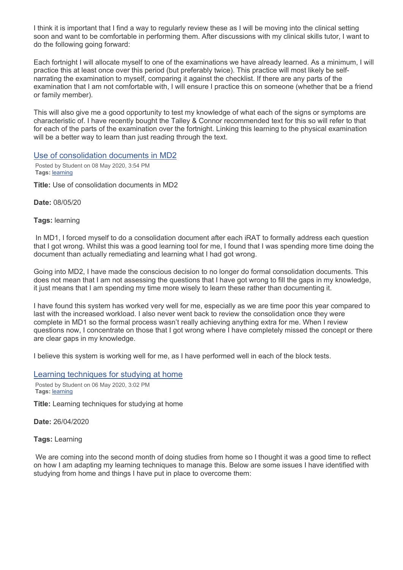I think it is important that I find a way to regularly review these as I will be moving into the clinical setting soon and want to be comfortable in performing them. After discussions with my clinical skills tutor, I want to do the following going forward:

Each fortnight I will allocate myself to one of the examinations we have already learned. As a minimum, I will practice this at least once over this period (but preferably twice). This practice will most likely be selfnarrating the examination to myself, comparing it against the checklist. If there are any parts of the examination that I am not comfortable with, I will ensure I practice this on someone (whether that be a friend or family member).

This will also give me a good opportunity to test my knowledge of what each of the signs or symptoms are characteristic of. I have recently bought the Talley & Connor recommended text for this so will refer to that for each of the parts of the examination over the fortnight. Linking this learning to the physical examination will be a better way to learn than just reading through the text.

# Use of consolidation documents in MD2

Posted by Student on 08 May 2020, 3:54 PM **Tags:** learning

**Title:** Use of consolidation documents in MD2

**Date:** 08/05/20

**Tags:** learning

In MD1, I forced myself to do a consolidation document after each iRAT to formally address each question that I got wrong. Whilst this was a good learning tool for me, I found that I was spending more time doing the document than actually remediating and learning what I had got wrong.

Going into MD2, I have made the conscious decision to no longer do formal consolidation documents. This does not mean that I am not assessing the questions that I have got wrong to fill the gaps in my knowledge, it just means that I am spending my time more wisely to learn these rather than documenting it.

I have found this system has worked very well for me, especially as we are time poor this year compared to last with the increased workload. I also never went back to review the consolidation once they were complete in MD1 so the formal process wasn't really achieving anything extra for me. When I review questions now, I concentrate on those that I got wrong where I have completely missed the concept or there are clear gaps in my knowledge.

I believe this system is working well for me, as I have performed well in each of the block tests.

Learning techniques for studying at home

Posted by Student on 06 May 2020, 3:02 PM **Tags:** learning

**Title:** Learning techniques for studying at home

**Date:** 26/04/2020

**Tags:** Learning

We are coming into the second month of doing studies from home so I thought it was a good time to reflect on how I am adapting my learning techniques to manage this. Below are some issues I have identified with studying from home and things I have put in place to overcome them: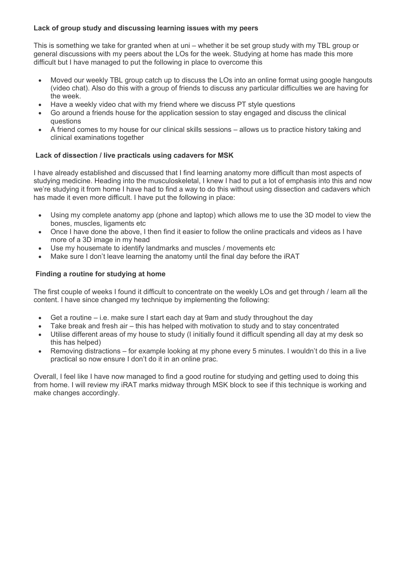# **Lack of group study and discussing learning issues with my peers**

This is something we take for granted when at uni – whether it be set group study with my TBL group or general discussions with my peers about the LOs for the week. Studying at home has made this more difficult but I have managed to put the following in place to overcome this

- Moved our weekly TBL group catch up to discuss the LOs into an online format using google hangouts (video chat). Also do this with a group of friends to discuss any particular difficulties we are having for the week.
- Have a weekly video chat with my friend where we discuss PT style questions
- Go around a friends house for the application session to stay engaged and discuss the clinical questions
- A friend comes to my house for our clinical skills sessions allows us to practice history taking and clinical examinations together

# **Lack of dissection / live practicals using cadavers for MSK**

I have already established and discussed that I find learning anatomy more difficult than most aspects of studying medicine. Heading into the musculoskeletal, I knew I had to put a lot of emphasis into this and now we're studying it from home I have had to find a way to do this without using dissection and cadavers which has made it even more difficult. I have put the following in place:

- Using my complete anatomy app (phone and laptop) which allows me to use the 3D model to view the bones, muscles, ligaments etc
- Once I have done the above, I then find it easier to follow the online practicals and videos as I have more of a 3D image in my head
- Use my housemate to identify landmarks and muscles / movements etc
- Make sure I don't leave learning the anatomy until the final day before the IRAT

# **Finding a routine for studying at home**

The first couple of weeks I found it difficult to concentrate on the weekly LOs and get through / learn all the content. I have since changed my technique by implementing the following:

- Get a routine i.e. make sure I start each day at 9am and study throughout the day
- Take break and fresh air this has helped with motivation to study and to stay concentrated
- Utilise different areas of my house to study (I initially found it difficult spending all day at my desk so this has helped)
- Removing distractions for example looking at my phone every 5 minutes. I wouldn't do this in a live practical so now ensure I don't do it in an online prac.

Overall, I feel like I have now managed to find a good routine for studying and getting used to doing this from home. I will review my iRAT marks midway through MSK block to see if this technique is working and make changes accordingly.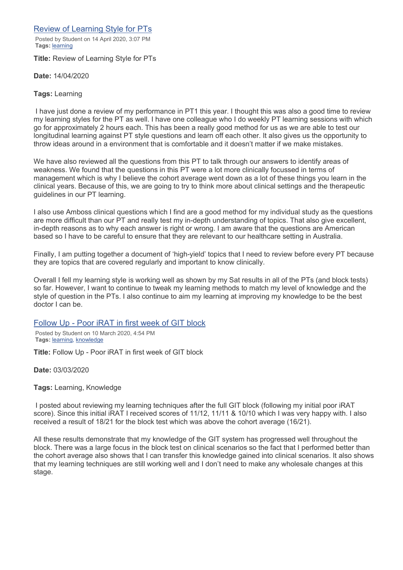# Review of Learning Style for PTs

Posted by Student on 14 April 2020, 3:07 PM **Tags:** learning

**Title:** Review of Learning Style for PTs

**Date:** 14/04/2020

# **Tags:** Learning

I have just done a review of my performance in PT1 this year. I thought this was also a good time to review my learning styles for the PT as well. I have one colleague who I do weekly PT learning sessions with which go for approximately 2 hours each. This has been a really good method for us as we are able to test our longitudinal learning against PT style questions and learn off each other. It also gives us the opportunity to throw ideas around in a environment that is comfortable and it doesn't matter if we make mistakes.

We have also reviewed all the questions from this PT to talk through our answers to identify areas of weakness. We found that the questions in this PT were a lot more clinically focussed in terms of management which is why I believe the cohort average went down as a lot of these things you learn in the clinical years. Because of this, we are going to try to think more about clinical settings and the therapeutic guidelines in our PT learning.

I also use Amboss clinical questions which I find are a good method for my individual study as the questions are more difficult than our PT and really test my in-depth understanding of topics. That also give excellent, in-depth reasons as to why each answer is right or wrong. I am aware that the questions are American based so I have to be careful to ensure that they are relevant to our healthcare setting in Australia.

Finally, I am putting together a document of 'high-yield' topics that I need to review before every PT because they are topics that are covered regularly and important to know clinically.

Overall I fell my learning style is working well as shown by my Sat results in all of the PTs (and block tests) so far. However, I want to continue to tweak my learning methods to match my level of knowledge and the style of question in the PTs. I also continue to aim my learning at improving my knowledge to be the best doctor I can be.

# Follow Up - Poor iRAT in first week of GIT block

Posted by Student on 10 March 2020, 4:54 PM **Tags:** learning, knowledge

**Title:** Follow Up - Poor iRAT in first week of GIT block

**Date:** 03/03/2020

**Tags:** Learning, Knowledge

I posted about reviewing my learning techniques after the full GIT block (following my initial poor iRAT score). Since this initial iRAT I received scores of 11/12, 11/11 & 10/10 which I was very happy with. I also received a result of 18/21 for the block test which was above the cohort average (16/21).

All these results demonstrate that my knowledge of the GIT system has progressed well throughout the block. There was a large focus in the block test on clinical scenarios so the fact that I performed better than the cohort average also shows that I can transfer this knowledge gained into clinical scenarios. It also shows that my learning techniques are still working well and I don't need to make any wholesale changes at this stage.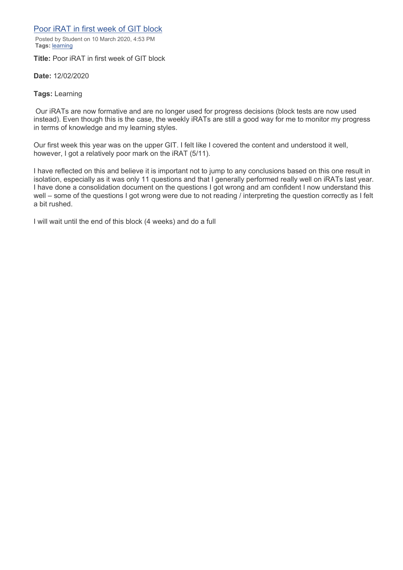# Poor iRAT in first week of GIT block

Posted by Student on 10 March 2020, 4:53 PM **Tags:** learning

**Title:** Poor iRAT in first week of GIT block

**Date:** 12/02/2020

**Tags:** Learning

Our iRATs are now formative and are no longer used for progress decisions (block tests are now used instead). Even though this is the case, the weekly iRATs are still a good way for me to monitor my progress in terms of knowledge and my learning styles.

Our first week this year was on the upper GIT. I felt like I covered the content and understood it well, however, I got a relatively poor mark on the iRAT (5/11).

I have reflected on this and believe it is important not to jump to any conclusions based on this one result in isolation, especially as it was only 11 questions and that I generally performed really well on iRATs last year. I have done a consolidation document on the questions I got wrong and am confident I now understand this well – some of the questions I got wrong were due to not reading / interpreting the question correctly as I felt a bit rushed.

I will wait until the end of this block (4 weeks) and do a full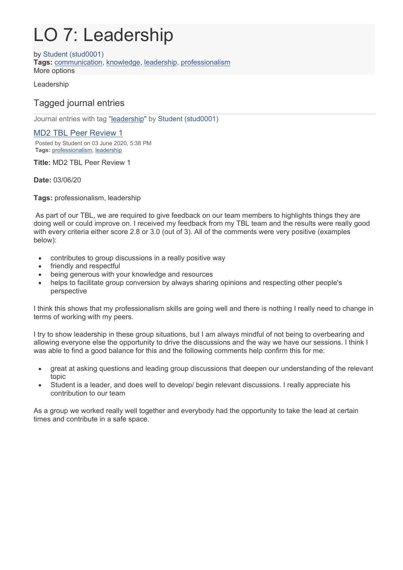# LO 7: Leadership

by Student (stud0001) **Tags:** communication, knowledge, leadership, professionalism More options

Leadership

# Tagged journal entries

Journal entries with tag "leadership" by Student (stud0001)

# MD2 TBL Peer Review 1

Posted by Student on 03 June 2020, 5:38 PM **Tags:** [professionalism,](https://eportfolio.flinders.edu.au/relatedtags.php?tag=professionalism&view=42598) [leadership](https://eportfolio.flinders.edu.au/relatedtags.php?tag=leadership&view=42598)

**Title:** MD2 TBL Peer Review 1

**Date:** 03/06/20

**Tags:** professionalism, leadership

As part of our TBL, we are required to give feedback on our team members to highlights things they are doing well or could improve on. I received my feedback from my TBL team and the results were really good with every criteria either score 2.8 or 3.0 (out of 3). All of the comments were very positive (examples below):

- contributes to group discussions in a really positive way
- friendly and respectful
- being generous with your knowledge and resources
- helps to facilitate group conversion by always sharing opinions and respecting other people's perspective

I think this shows that my professionalism skills are going well and there is nothing I really need to change in terms of working with my peers.

I try to show leadership in these group situations, but I am always mindful of not being to overbearing and allowing everyone else the opportunity to drive the discussions and the way we have our sessions. I think I was able to find a good balance for this and the following comments help confirm this for me:

- great at asking questions and leading group discussions that deepen our understanding of the relevant topic
- Student is a leader, and does well to develop/ begin relevant discussions. I really appreciate his contribution to our team

As a group we worked really well together and everybody had the opportunity to take the lead at certain times and contribute in a safe space.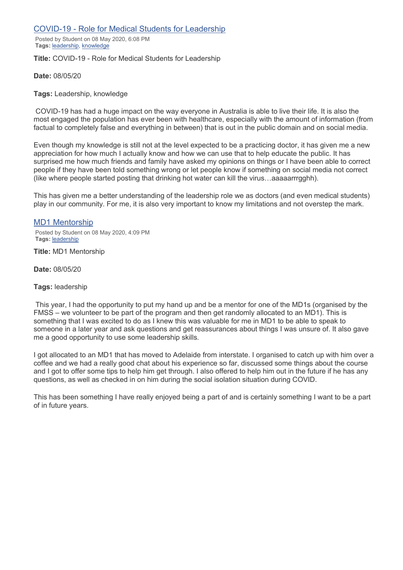# COVID-19 - Role for Medical Students for Leadership

Posted by Student on 08 May 2020, 6:08 PM **Tags:** leadership, knowledge

## **Title:** COVID-19 - Role for Medical Students for Leadership

**Date:** 08/05/20

## **Tags:** Leadership, knowledge

COVID-19 has had a huge impact on the way everyone in Australia is able to live their life. It is also the most engaged the population has ever been with healthcare, especially with the amount of information (from factual to completely false and everything in between) that is out in the public domain and on social media.

Even though my knowledge is still not at the level expected to be a practicing doctor, it has given me a new appreciation for how much I actually know and how we can use that to help educate the public. It has surprised me how much friends and family have asked my opinions on things or I have been able to correct people if they have been told something wrong or let people know if something on social media not correct (like where people started posting that drinking hot water can kill the virus…aaaaarrrgghh).

This has given me a better understanding of the leadership role we as doctors (and even medical students) play in our community. For me, it is also very important to know my limitations and not overstep the mark.

# MD1 Mentorship

Posted by Student on 08 May 2020, 4:09 PM **Tags:** leadership

**Title:** MD1 Mentorship

**Date:** 08/05/20

## **Tags:** leadership

This year, I had the opportunity to put my hand up and be a mentor for one of the MD1s (organised by the FMSS – we volunteer to be part of the program and then get randomly allocated to an MD1). This is something that I was excited to do as I knew this was valuable for me in MD1 to be able to speak to someone in a later year and ask questions and get reassurances about things I was unsure of. It also gave me a good opportunity to use some leadership skills.

I got allocated to an MD1 that has moved to Adelaide from interstate. I organised to catch up with him over a coffee and we had a really good chat about his experience so far, discussed some things about the course and I got to offer some tips to help him get through. I also offered to help him out in the future if he has any questions, as well as checked in on him during the social isolation situation during COVID.

This has been something I have really enjoyed being a part of and is certainly something I want to be a part of in future years.